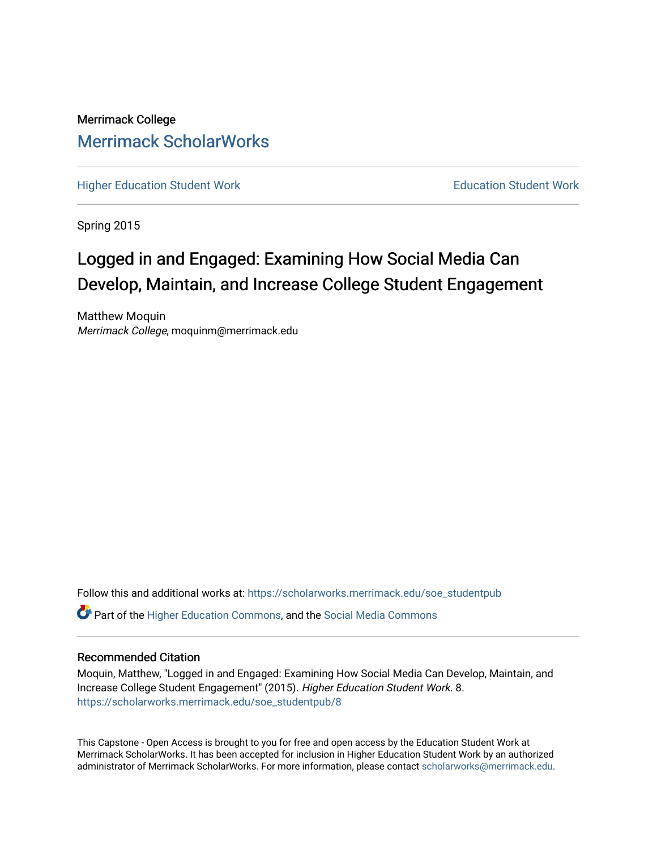Merrimack College [Merrimack ScholarWorks](https://scholarworks.merrimack.edu/) 

[Higher Education Student Work](https://scholarworks.merrimack.edu/soe_studentpub) **Education Student Work** Education Student Work

Spring 2015

# Logged in and Engaged: Examining How Social Media Can Develop, Maintain, and Increase College Student Engagement

Matthew Moquin Merrimack College, moquinm@merrimack.edu

Follow this and additional works at: [https://scholarworks.merrimack.edu/soe\\_studentpub](https://scholarworks.merrimack.edu/soe_studentpub?utm_source=scholarworks.merrimack.edu%2Fsoe_studentpub%2F8&utm_medium=PDF&utm_campaign=PDFCoverPages) 

 $\bullet$  Part of the [Higher Education Commons,](http://network.bepress.com/hgg/discipline/1245?utm_source=scholarworks.merrimack.edu%2Fsoe_studentpub%2F8&utm_medium=PDF&utm_campaign=PDFCoverPages) and the Social Media Commons

# Recommended Citation

Moquin, Matthew, "Logged in and Engaged: Examining How Social Media Can Develop, Maintain, and Increase College Student Engagement" (2015). Higher Education Student Work. 8. [https://scholarworks.merrimack.edu/soe\\_studentpub/8](https://scholarworks.merrimack.edu/soe_studentpub/8?utm_source=scholarworks.merrimack.edu%2Fsoe_studentpub%2F8&utm_medium=PDF&utm_campaign=PDFCoverPages) 

This Capstone - Open Access is brought to you for free and open access by the Education Student Work at Merrimack ScholarWorks. It has been accepted for inclusion in Higher Education Student Work by an authorized administrator of Merrimack ScholarWorks. For more information, please contact [scholarworks@merrimack.edu](mailto:scholarworks@merrimack.edu).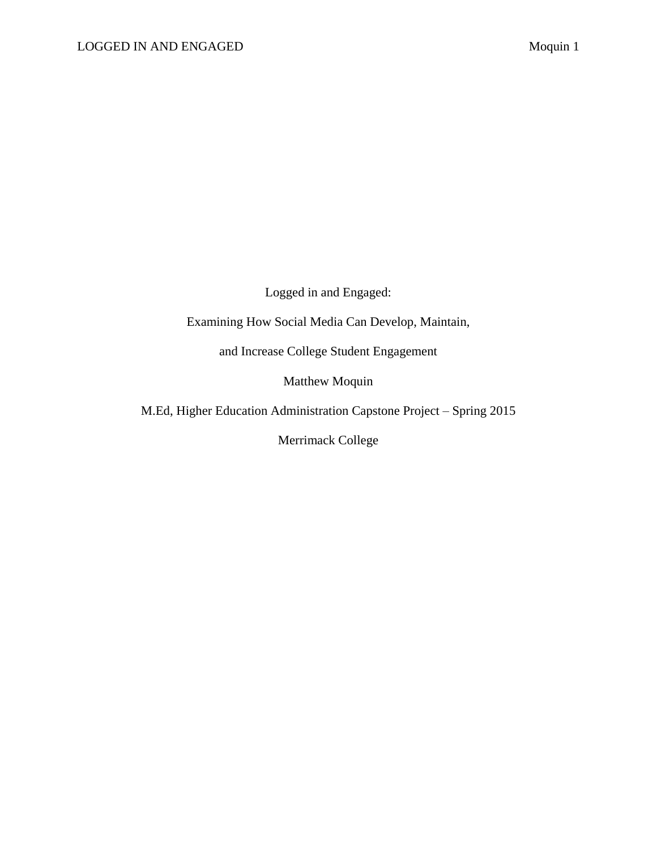Logged in and Engaged:

Examining How Social Media Can Develop, Maintain,

and Increase College Student Engagement

Matthew Moquin

M.Ed, Higher Education Administration Capstone Project – Spring 2015

Merrimack College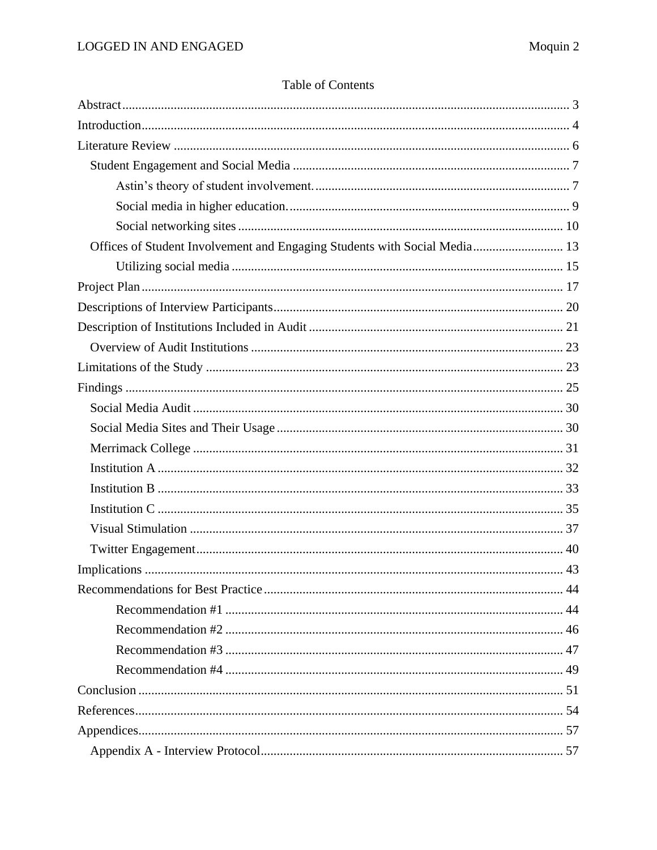|  | <b>Table of Contents</b> |
|--|--------------------------|
|--|--------------------------|

| Offices of Student Involvement and Engaging Students with Social Media 13 |  |
|---------------------------------------------------------------------------|--|
|                                                                           |  |
|                                                                           |  |
|                                                                           |  |
|                                                                           |  |
|                                                                           |  |
|                                                                           |  |
|                                                                           |  |
|                                                                           |  |
|                                                                           |  |
|                                                                           |  |
|                                                                           |  |
|                                                                           |  |
|                                                                           |  |
|                                                                           |  |
|                                                                           |  |
|                                                                           |  |
|                                                                           |  |
|                                                                           |  |
|                                                                           |  |
|                                                                           |  |
|                                                                           |  |
|                                                                           |  |
|                                                                           |  |
|                                                                           |  |
|                                                                           |  |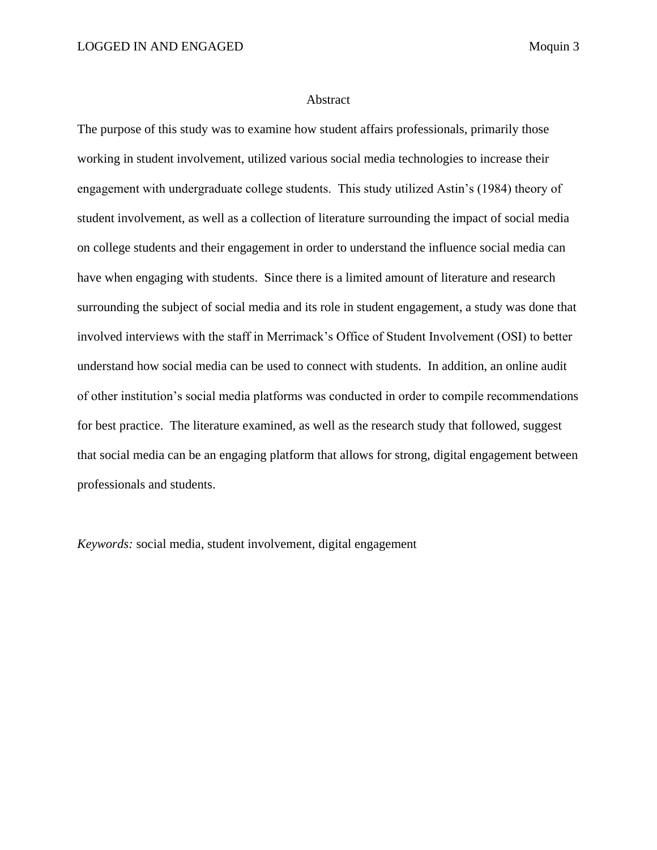## Abstract

<span id="page-3-0"></span>The purpose of this study was to examine how student affairs professionals, primarily those working in student involvement, utilized various social media technologies to increase their engagement with undergraduate college students. This study utilized Astin's (1984) theory of student involvement, as well as a collection of literature surrounding the impact of social media on college students and their engagement in order to understand the influence social media can have when engaging with students. Since there is a limited amount of literature and research surrounding the subject of social media and its role in student engagement, a study was done that involved interviews with the staff in Merrimack's Office of Student Involvement (OSI) to better understand how social media can be used to connect with students. In addition, an online audit of other institution's social media platforms was conducted in order to compile recommendations for best practice. The literature examined, as well as the research study that followed, suggest that social media can be an engaging platform that allows for strong, digital engagement between professionals and students.

*Keywords:* social media, student involvement, digital engagement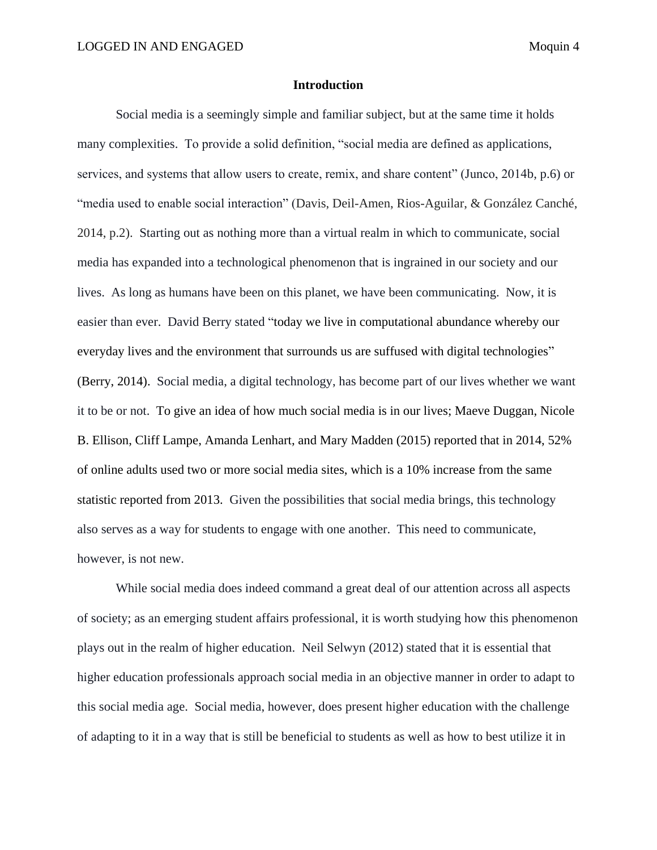# **Introduction**

<span id="page-4-0"></span>Social media is a seemingly simple and familiar subject, but at the same time it holds many complexities. To provide a solid definition, "social media are defined as applications, services, and systems that allow users to create, remix, and share content" (Junco, 2014b, p.6) or "media used to enable social interaction" (Davis, Deil-Amen, Rios-Aguilar, & González Canché, 2014, p.2). Starting out as nothing more than a virtual realm in which to communicate, social media has expanded into a technological phenomenon that is ingrained in our society and our lives. As long as humans have been on this planet, we have been communicating. Now, it is easier than ever. David Berry stated "today we live in computational abundance whereby our everyday lives and the environment that surrounds us are suffused with digital technologies" (Berry, 2014). Social media, a digital technology, has become part of our lives whether we want it to be or not. To give an idea of how much social media is in our lives; Maeve Duggan, Nicole B. Ellison, Cliff Lampe, Amanda Lenhart, and Mary Madden (2015) reported that in 2014, 52% of online adults used two or more social media sites, which is a 10% increase from the same statistic reported from 2013. Given the possibilities that social media brings, this technology also serves as a way for students to engage with one another. This need to communicate, however, is not new.

While social media does indeed command a great deal of our attention across all aspects of society; as an emerging student affairs professional, it is worth studying how this phenomenon plays out in the realm of higher education. Neil Selwyn (2012) stated that it is essential that higher education professionals approach social media in an objective manner in order to adapt to this social media age. Social media, however, does present higher education with the challenge of adapting to it in a way that is still be beneficial to students as well as how to best utilize it in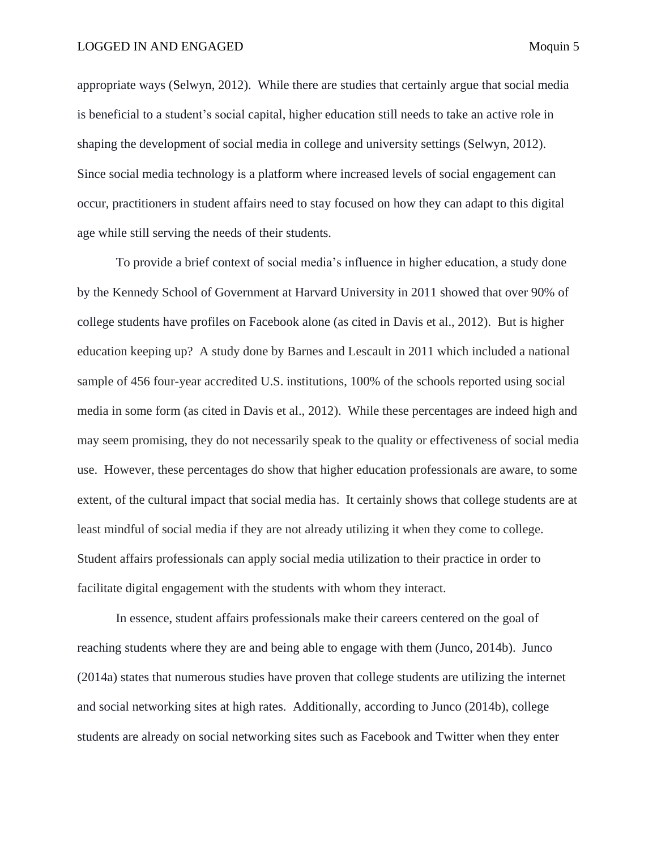appropriate ways (Selwyn, 2012). While there are studies that certainly argue that social media is beneficial to a student's social capital, higher education still needs to take an active role in shaping the development of social media in college and university settings (Selwyn, 2012). Since social media technology is a platform where increased levels of social engagement can occur, practitioners in student affairs need to stay focused on how they can adapt to this digital age while still serving the needs of their students.

To provide a brief context of social media's influence in higher education, a study done by the Kennedy School of Government at Harvard University in 2011 showed that over 90% of college students have profiles on Facebook alone (as cited in Davis et al., 2012). But is higher education keeping up? A study done by Barnes and Lescault in 2011 which included a national sample of 456 four-year accredited U.S. institutions, 100% of the schools reported using social media in some form (as cited in Davis et al., 2012). While these percentages are indeed high and may seem promising, they do not necessarily speak to the quality or effectiveness of social media use. However, these percentages do show that higher education professionals are aware, to some extent, of the cultural impact that social media has. It certainly shows that college students are at least mindful of social media if they are not already utilizing it when they come to college. Student affairs professionals can apply social media utilization to their practice in order to facilitate digital engagement with the students with whom they interact.

In essence, student affairs professionals make their careers centered on the goal of reaching students where they are and being able to engage with them (Junco, 2014b). Junco (2014a) states that numerous studies have proven that college students are utilizing the internet and social networking sites at high rates. Additionally, according to Junco (2014b), college students are already on social networking sites such as Facebook and Twitter when they enter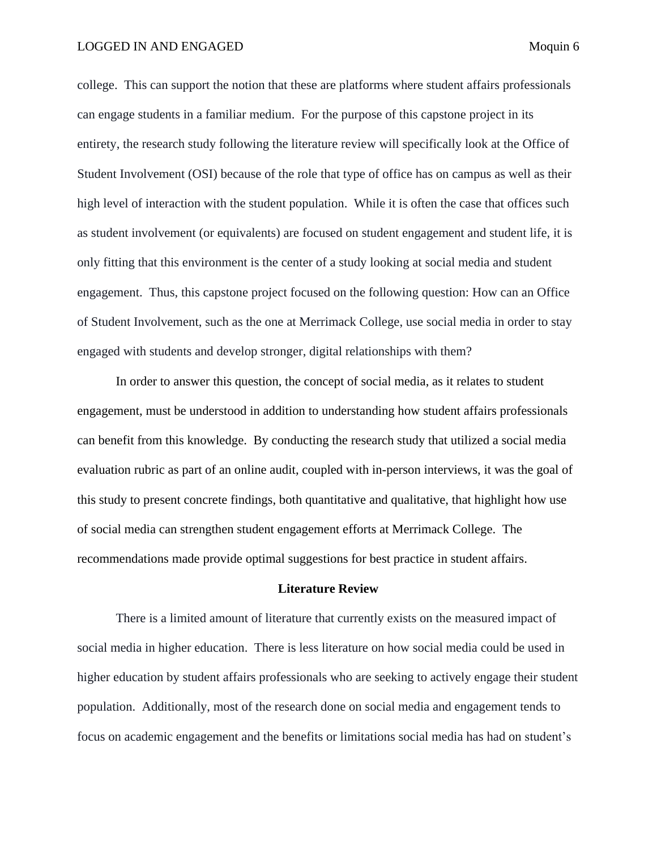## LOGGED IN AND ENGAGED Moquin 6

college. This can support the notion that these are platforms where student affairs professionals can engage students in a familiar medium. For the purpose of this capstone project in its entirety, the research study following the literature review will specifically look at the Office of Student Involvement (OSI) because of the role that type of office has on campus as well as their high level of interaction with the student population. While it is often the case that offices such as student involvement (or equivalents) are focused on student engagement and student life, it is only fitting that this environment is the center of a study looking at social media and student engagement. Thus, this capstone project focused on the following question: How can an Office of Student Involvement, such as the one at Merrimack College, use social media in order to stay engaged with students and develop stronger, digital relationships with them?

In order to answer this question, the concept of social media, as it relates to student engagement, must be understood in addition to understanding how student affairs professionals can benefit from this knowledge. By conducting the research study that utilized a social media evaluation rubric as part of an online audit, coupled with in-person interviews, it was the goal of this study to present concrete findings, both quantitative and qualitative, that highlight how use of social media can strengthen student engagement efforts at Merrimack College. The recommendations made provide optimal suggestions for best practice in student affairs.

# **Literature Review**

<span id="page-6-0"></span>There is a limited amount of literature that currently exists on the measured impact of social media in higher education. There is less literature on how social media could be used in higher education by student affairs professionals who are seeking to actively engage their student population. Additionally, most of the research done on social media and engagement tends to focus on academic engagement and the benefits or limitations social media has had on student's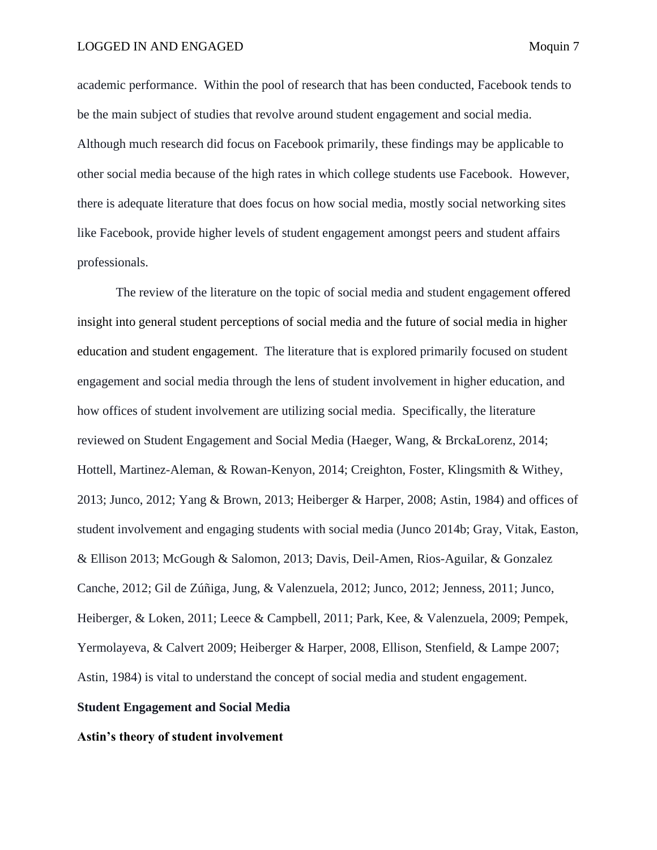academic performance. Within the pool of research that has been conducted, Facebook tends to be the main subject of studies that revolve around student engagement and social media. Although much research did focus on Facebook primarily, these findings may be applicable to other social media because of the high rates in which college students use Facebook. However, there is adequate literature that does focus on how social media, mostly social networking sites like Facebook, provide higher levels of student engagement amongst peers and student affairs professionals.

The review of the literature on the topic of social media and student engagement offered insight into general student perceptions of social media and the future of social media in higher education and student engagement. The literature that is explored primarily focused on student engagement and social media through the lens of student involvement in higher education, and how offices of student involvement are utilizing social media. Specifically, the literature reviewed on Student Engagement and Social Media (Haeger, Wang, & BrckaLorenz, 2014; Hottell, Martinez-Aleman, & Rowan-Kenyon, 2014; Creighton, Foster, Klingsmith & Withey, 2013; Junco, 2012; Yang & Brown, 2013; Heiberger & Harper, 2008; Astin, 1984) and offices of student involvement and engaging students with social media (Junco 2014b; Gray, Vitak, Easton, & Ellison 2013; McGough & Salomon, 2013; Davis, Deil-Amen, Rios-Aguilar, & Gonzalez Canche, 2012; Gil de Zúñiga, Jung, & Valenzuela, 2012; Junco, 2012; Jenness, 2011; Junco, Heiberger, & Loken, 2011; Leece & Campbell, 2011; Park, Kee, & Valenzuela, 2009; Pempek, Yermolayeva, & Calvert 2009; Heiberger & Harper, 2008, Ellison, Stenfield, & Lampe 2007; Astin, 1984) is vital to understand the concept of social media and student engagement.

# <span id="page-7-0"></span>**Student Engagement and Social Media**

#### <span id="page-7-1"></span>**Astin's theory of student involvement**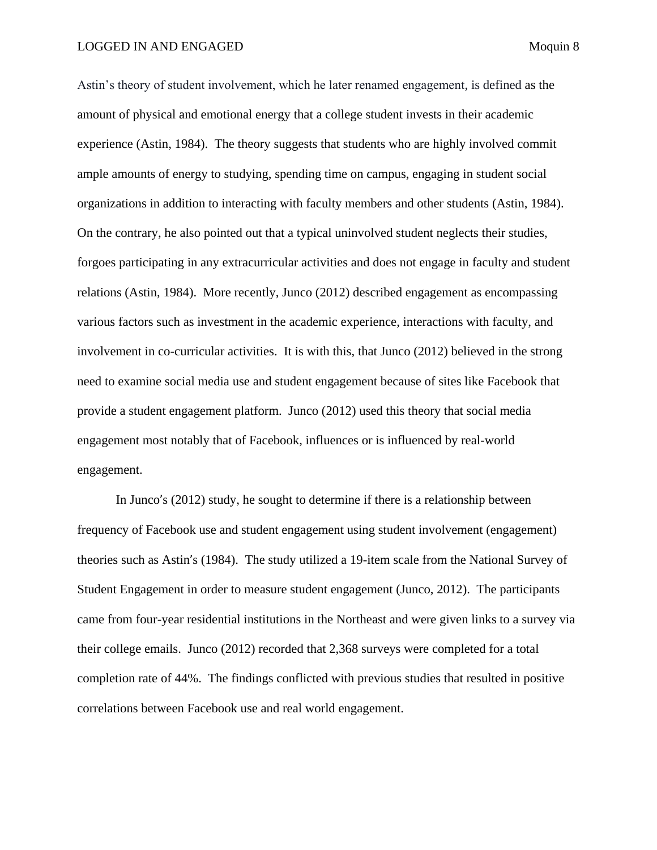Astin's theory of student involvement, which he later renamed engagement, is defined as the amount of physical and emotional energy that a college student invests in their academic experience (Astin, 1984). The theory suggests that students who are highly involved commit ample amounts of energy to studying, spending time on campus, engaging in student social organizations in addition to interacting with faculty members and other students (Astin, 1984). On the contrary, he also pointed out that a typical uninvolved student neglects their studies, forgoes participating in any extracurricular activities and does not engage in faculty and student relations (Astin, 1984). More recently, Junco (2012) described engagement as encompassing various factors such as investment in the academic experience, interactions with faculty, and involvement in co-curricular activities. It is with this, that Junco (2012) believed in the strong need to examine social media use and student engagement because of sites like Facebook that provide a student engagement platform. Junco (2012) used this theory that social media engagement most notably that of Facebook, influences or is influenced by real-world engagement.

In Junco's (2012) study, he sought to determine if there is a relationship between frequency of Facebook use and student engagement using student involvement (engagement) theories such as Astin's (1984). The study utilized a 19-item scale from the National Survey of Student Engagement in order to measure student engagement (Junco, 2012). The participants came from four-year residential institutions in the Northeast and were given links to a survey via their college emails. Junco (2012) recorded that 2,368 surveys were completed for a total completion rate of 44%. The findings conflicted with previous studies that resulted in positive correlations between Facebook use and real world engagement.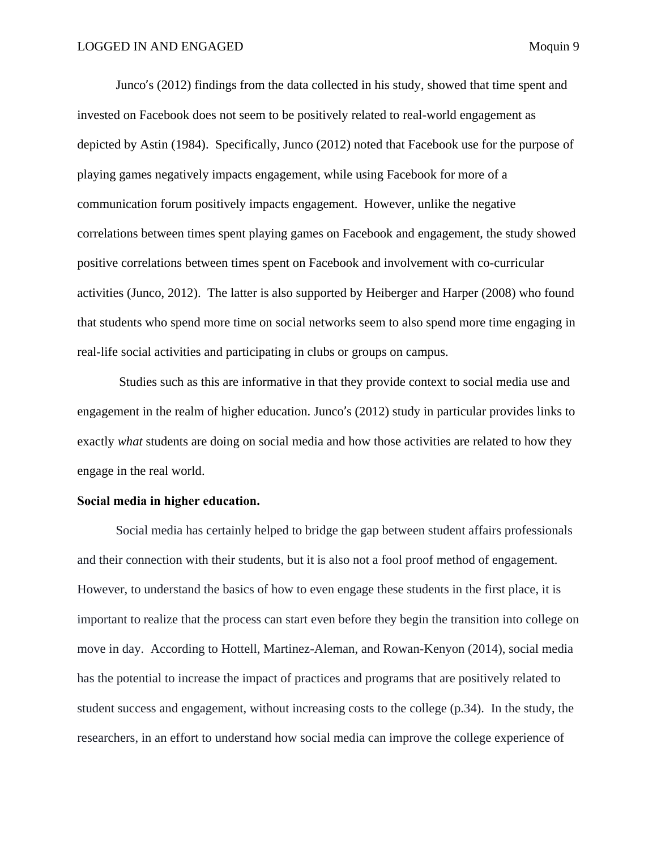Junco's (2012) findings from the data collected in his study, showed that time spent and invested on Facebook does not seem to be positively related to real-world engagement as depicted by Astin (1984). Specifically, Junco (2012) noted that Facebook use for the purpose of playing games negatively impacts engagement, while using Facebook for more of a communication forum positively impacts engagement. However, unlike the negative correlations between times spent playing games on Facebook and engagement, the study showed positive correlations between times spent on Facebook and involvement with co-curricular activities (Junco, 2012). The latter is also supported by Heiberger and Harper (2008) who found that students who spend more time on social networks seem to also spend more time engaging in real-life social activities and participating in clubs or groups on campus.

Studies such as this are informative in that they provide context to social media use and engagement in the realm of higher education. Junco's (2012) study in particular provides links to exactly *what* students are doing on social media and how those activities are related to how they engage in the real world.

### <span id="page-9-0"></span>**Social media in higher education.**

Social media has certainly helped to bridge the gap between student affairs professionals and their connection with their students, but it is also not a fool proof method of engagement. However, to understand the basics of how to even engage these students in the first place, it is important to realize that the process can start even before they begin the transition into college on move in day. According to Hottell, Martinez-Aleman, and Rowan-Kenyon (2014), social media has the potential to increase the impact of practices and programs that are positively related to student success and engagement, without increasing costs to the college (p.34). In the study, the researchers, in an effort to understand how social media can improve the college experience of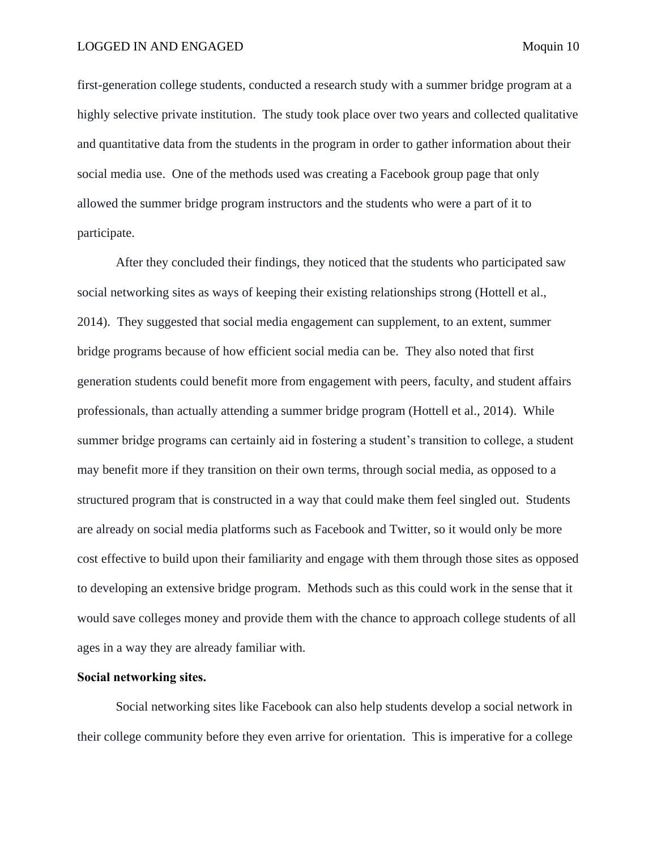first-generation college students, conducted a research study with a summer bridge program at a highly selective private institution. The study took place over two years and collected qualitative and quantitative data from the students in the program in order to gather information about their social media use. One of the methods used was creating a Facebook group page that only allowed the summer bridge program instructors and the students who were a part of it to participate.

After they concluded their findings, they noticed that the students who participated saw social networking sites as ways of keeping their existing relationships strong (Hottell et al., 2014). They suggested that social media engagement can supplement, to an extent, summer bridge programs because of how efficient social media can be. They also noted that first generation students could benefit more from engagement with peers, faculty, and student affairs professionals, than actually attending a summer bridge program (Hottell et al., 2014). While summer bridge programs can certainly aid in fostering a student's transition to college, a student may benefit more if they transition on their own terms, through social media, as opposed to a structured program that is constructed in a way that could make them feel singled out. Students are already on social media platforms such as Facebook and Twitter, so it would only be more cost effective to build upon their familiarity and engage with them through those sites as opposed to developing an extensive bridge program. Methods such as this could work in the sense that it would save colleges money and provide them with the chance to approach college students of all ages in a way they are already familiar with.

# <span id="page-10-0"></span>**Social networking sites.**

Social networking sites like Facebook can also help students develop a social network in their college community before they even arrive for orientation. This is imperative for a college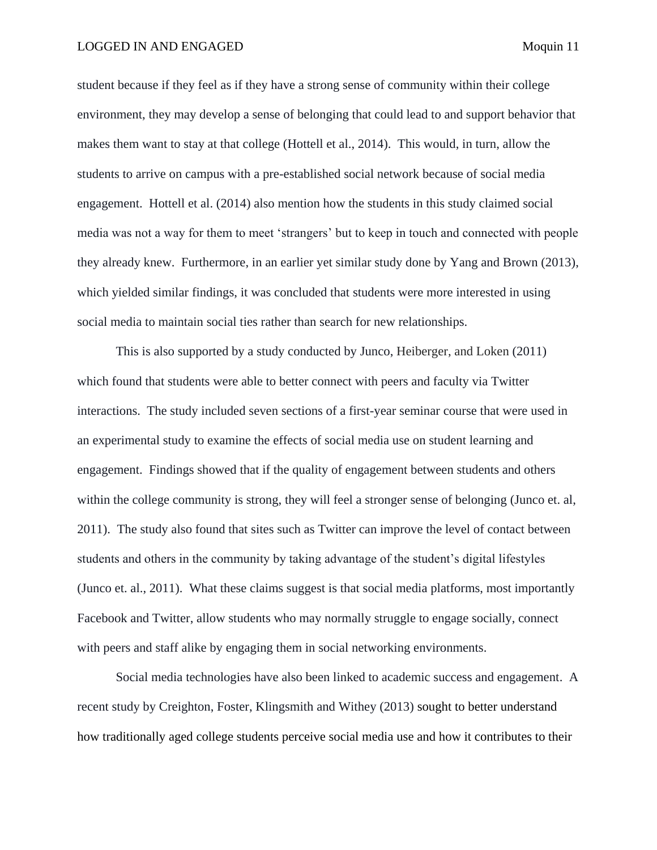student because if they feel as if they have a strong sense of community within their college environment, they may develop a sense of belonging that could lead to and support behavior that makes them want to stay at that college (Hottell et al., 2014). This would, in turn, allow the students to arrive on campus with a pre-established social network because of social media engagement. Hottell et al. (2014) also mention how the students in this study claimed social media was not a way for them to meet 'strangers' but to keep in touch and connected with people they already knew. Furthermore, in an earlier yet similar study done by Yang and Brown (2013), which yielded similar findings, it was concluded that students were more interested in using social media to maintain social ties rather than search for new relationships.

This is also supported by a study conducted by Junco, Heiberger, and Loken (2011) which found that students were able to better connect with peers and faculty via Twitter interactions. The study included seven sections of a first-year seminar course that were used in an experimental study to examine the effects of social media use on student learning and engagement. Findings showed that if the quality of engagement between students and others within the college community is strong, they will feel a stronger sense of belonging (Junco et. al, 2011). The study also found that sites such as Twitter can improve the level of contact between students and others in the community by taking advantage of the student's digital lifestyles (Junco et. al., 2011). What these claims suggest is that social media platforms, most importantly Facebook and Twitter, allow students who may normally struggle to engage socially, connect with peers and staff alike by engaging them in social networking environments.

Social media technologies have also been linked to academic success and engagement. A recent study by Creighton, Foster, Klingsmith and Withey (2013) sought to better understand how traditionally aged college students perceive social media use and how it contributes to their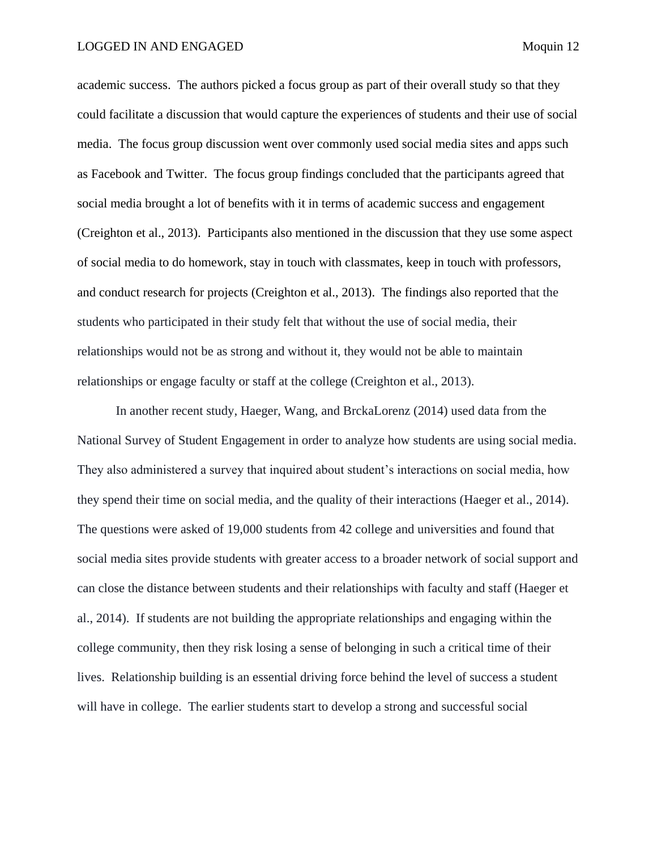## LOGGED IN AND ENGAGED Moquin 12

academic success. The authors picked a focus group as part of their overall study so that they could facilitate a discussion that would capture the experiences of students and their use of social media. The focus group discussion went over commonly used social media sites and apps such as Facebook and Twitter. The focus group findings concluded that the participants agreed that social media brought a lot of benefits with it in terms of academic success and engagement (Creighton et al., 2013). Participants also mentioned in the discussion that they use some aspect of social media to do homework, stay in touch with classmates, keep in touch with professors, and conduct research for projects (Creighton et al., 2013). The findings also reported that the students who participated in their study felt that without the use of social media, their relationships would not be as strong and without it, they would not be able to maintain relationships or engage faculty or staff at the college (Creighton et al., 2013).

In another recent study, Haeger, Wang, and BrckaLorenz (2014) used data from the National Survey of Student Engagement in order to analyze how students are using social media. They also administered a survey that inquired about student's interactions on social media, how they spend their time on social media, and the quality of their interactions (Haeger et al., 2014). The questions were asked of 19,000 students from 42 college and universities and found that social media sites provide students with greater access to a broader network of social support and can close the distance between students and their relationships with faculty and staff (Haeger et al., 2014). If students are not building the appropriate relationships and engaging within the college community, then they risk losing a sense of belonging in such a critical time of their lives. Relationship building is an essential driving force behind the level of success a student will have in college. The earlier students start to develop a strong and successful social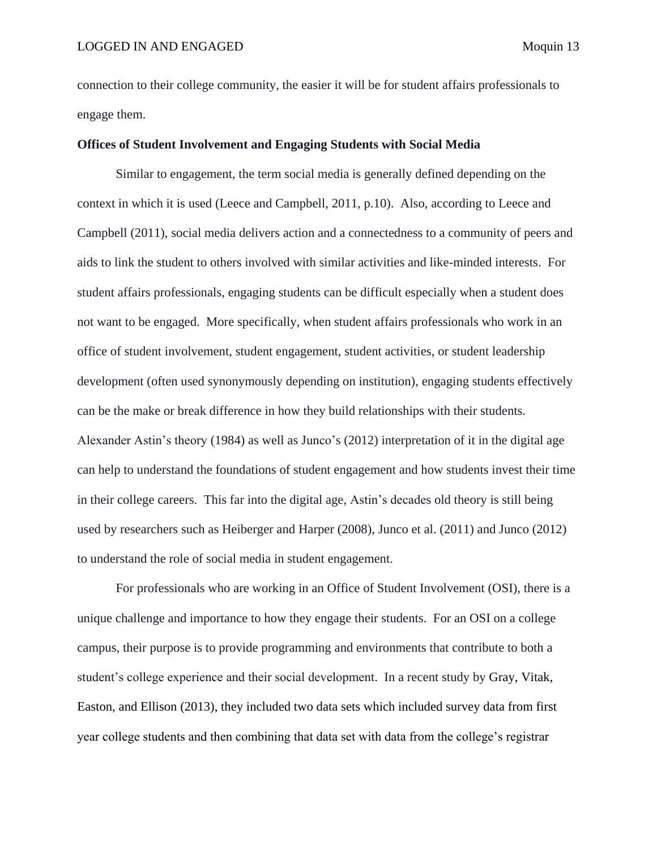connection to their college community, the easier it will be for student affairs professionals to engage them.

# <span id="page-13-0"></span>**Offices of Student Involvement and Engaging Students with Social Media**

Similar to engagement, the term social media is generally defined depending on the context in which it is used (Leece and Campbell, 2011, p.10). Also, according to Leece and Campbell (2011), social media delivers action and a connectedness to a community of peers and aids to link the student to others involved with similar activities and like-minded interests. For student affairs professionals, engaging students can be difficult especially when a student does not want to be engaged. More specifically, when student affairs professionals who work in an office of student involvement, student engagement, student activities, or student leadership development (often used synonymously depending on institution), engaging students effectively can be the make or break difference in how they build relationships with their students. Alexander Astin's theory (1984) as well as Junco's (2012) interpretation of it in the digital age can help to understand the foundations of student engagement and how students invest their time in their college careers. This far into the digital age, Astin's decades old theory is still being used by researchers such as Heiberger and Harper (2008), Junco et al. (2011) and Junco (2012) to understand the role of social media in student engagement.

For professionals who are working in an Office of Student Involvement (OSI), there is a unique challenge and importance to how they engage their students. For an OSI on a college campus, their purpose is to provide programming and environments that contribute to both a student's college experience and their social development. In a recent study by Gray, Vitak, Easton, and Ellison (2013), they included two data sets which included survey data from first year college students and then combining that data set with data from the college's registrar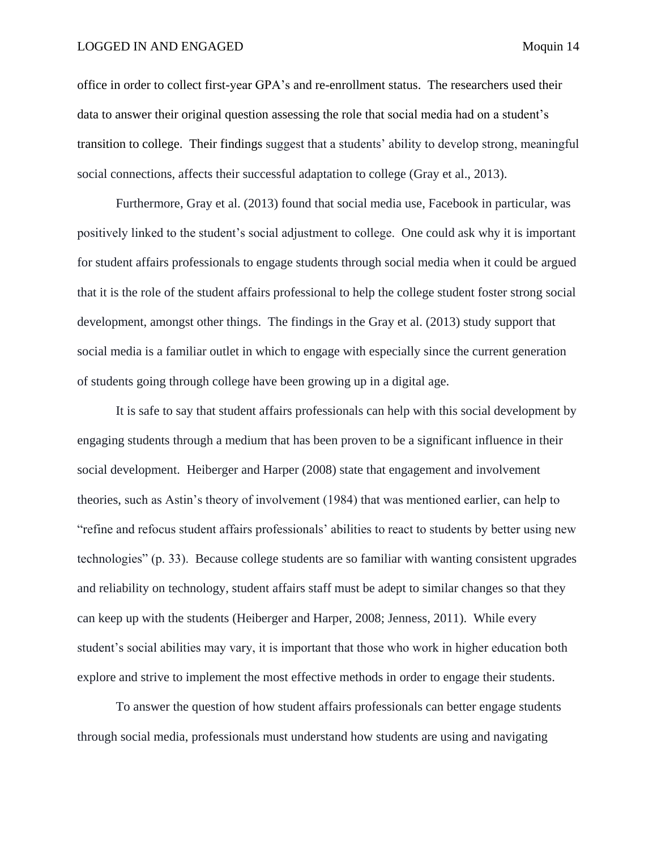## LOGGED IN AND ENGAGED Moquin 14

office in order to collect first-year GPA's and re-enrollment status. The researchers used their data to answer their original question assessing the role that social media had on a student's transition to college. Their findings suggest that a students' ability to develop strong, meaningful social connections, affects their successful adaptation to college (Gray et al., 2013).

Furthermore, Gray et al. (2013) found that social media use, Facebook in particular, was positively linked to the student's social adjustment to college. One could ask why it is important for student affairs professionals to engage students through social media when it could be argued that it is the role of the student affairs professional to help the college student foster strong social development, amongst other things. The findings in the Gray et al. (2013) study support that social media is a familiar outlet in which to engage with especially since the current generation of students going through college have been growing up in a digital age.

It is safe to say that student affairs professionals can help with this social development by engaging students through a medium that has been proven to be a significant influence in their social development. Heiberger and Harper (2008) state that engagement and involvement theories, such as Astin's theory of involvement (1984) that was mentioned earlier, can help to "refine and refocus student affairs professionals' abilities to react to students by better using new technologies" (p. 33). Because college students are so familiar with wanting consistent upgrades and reliability on technology, student affairs staff must be adept to similar changes so that they can keep up with the students (Heiberger and Harper, 2008; Jenness, 2011). While every student's social abilities may vary, it is important that those who work in higher education both explore and strive to implement the most effective methods in order to engage their students.

To answer the question of how student affairs professionals can better engage students through social media, professionals must understand how students are using and navigating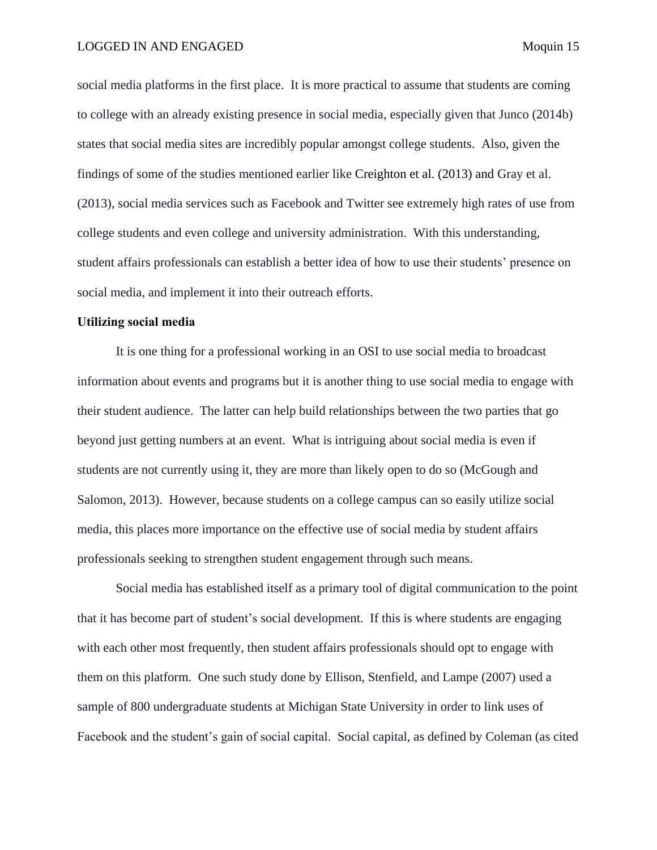social media platforms in the first place. It is more practical to assume that students are coming to college with an already existing presence in social media, especially given that Junco (2014b) states that social media sites are incredibly popular amongst college students. Also, given the findings of some of the studies mentioned earlier like Creighton et al. (2013) and Gray et al. (2013), social media services such as Facebook and Twitter see extremely high rates of use from college students and even college and university administration. With this understanding, student affairs professionals can establish a better idea of how to use their students' presence on social media, and implement it into their outreach efforts.

# <span id="page-15-0"></span>**Utilizing social media**

It is one thing for a professional working in an OSI to use social media to broadcast information about events and programs but it is another thing to use social media to engage with their student audience. The latter can help build relationships between the two parties that go beyond just getting numbers at an event. What is intriguing about social media is even if students are not currently using it, they are more than likely open to do so (McGough and Salomon, 2013). However, because students on a college campus can so easily utilize social media, this places more importance on the effective use of social media by student affairs professionals seeking to strengthen student engagement through such means.

Social media has established itself as a primary tool of digital communication to the point that it has become part of student's social development. If this is where students are engaging with each other most frequently, then student affairs professionals should opt to engage with them on this platform. One such study done by Ellison, Stenfield, and Lampe (2007) used a sample of 800 undergraduate students at Michigan State University in order to link uses of Facebook and the student's gain of social capital. Social capital, as defined by Coleman (as cited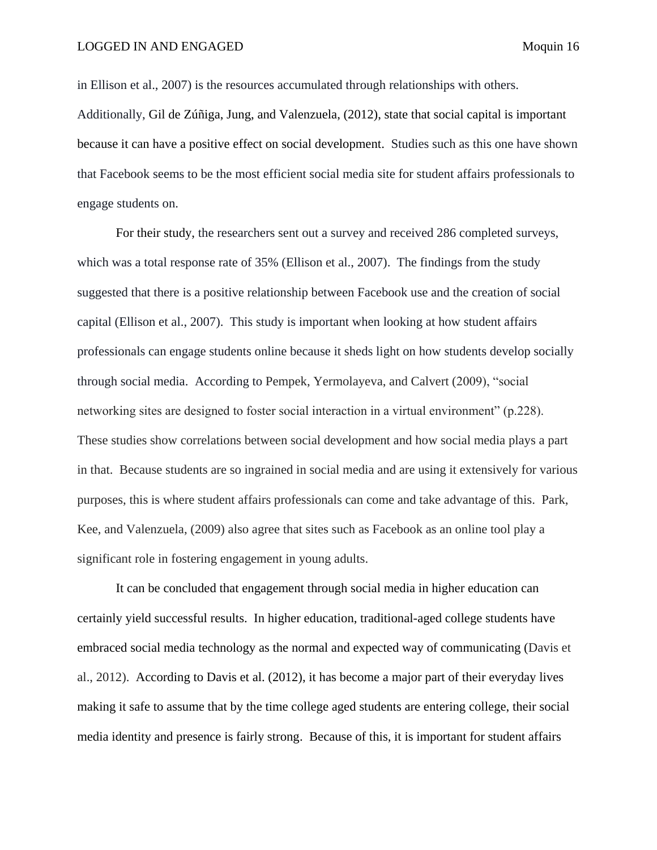in Ellison et al., 2007) is the resources accumulated through relationships with others. Additionally, Gil de Zúñiga, Jung, and Valenzuela, (2012), state that social capital is important because it can have a positive effect on social development. Studies such as this one have shown that Facebook seems to be the most efficient social media site for student affairs professionals to engage students on.

For their study, the researchers sent out a survey and received 286 completed surveys, which was a total response rate of 35% (Ellison et al., 2007). The findings from the study suggested that there is a positive relationship between Facebook use and the creation of social capital (Ellison et al., 2007). This study is important when looking at how student affairs professionals can engage students online because it sheds light on how students develop socially through social media. According to Pempek, Yermolayeva, and Calvert (2009), "social networking sites are designed to foster social interaction in a virtual environment" (p.228). These studies show correlations between social development and how social media plays a part in that. Because students are so ingrained in social media and are using it extensively for various purposes, this is where student affairs professionals can come and take advantage of this. Park, Kee, and Valenzuela, (2009) also agree that sites such as Facebook as an online tool play a significant role in fostering engagement in young adults.

It can be concluded that engagement through social media in higher education can certainly yield successful results. In higher education, traditional-aged college students have embraced social media technology as the normal and expected way of communicating (Davis et al., 2012). According to Davis et al. (2012), it has become a major part of their everyday lives making it safe to assume that by the time college aged students are entering college, their social media identity and presence is fairly strong. Because of this, it is important for student affairs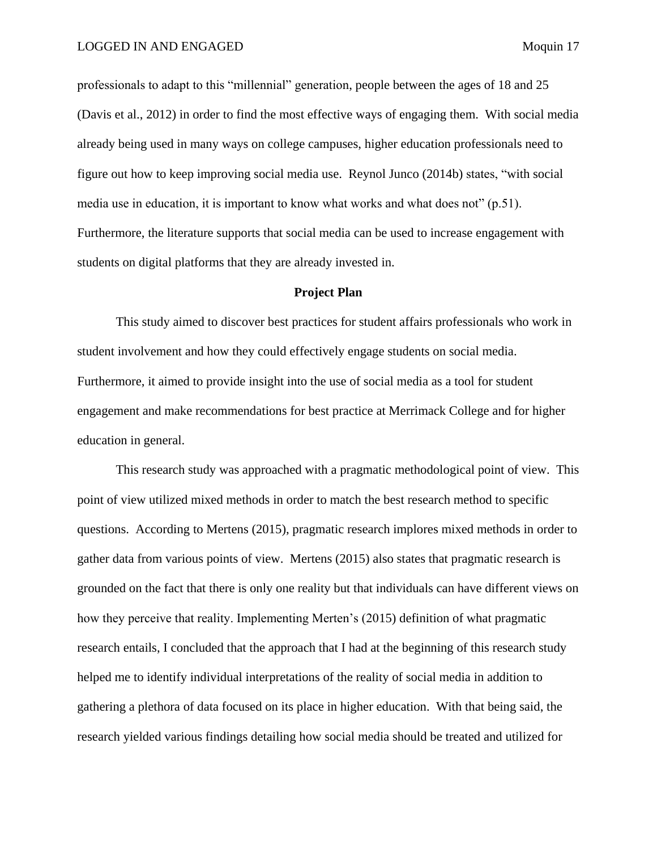professionals to adapt to this "millennial" generation, people between the ages of 18 and 25 (Davis et al., 2012) in order to find the most effective ways of engaging them. With social media already being used in many ways on college campuses, higher education professionals need to figure out how to keep improving social media use. Reynol Junco (2014b) states, "with social media use in education, it is important to know what works and what does not" (p.51). Furthermore, the literature supports that social media can be used to increase engagement with students on digital platforms that they are already invested in.

## **Project Plan**

<span id="page-17-0"></span>This study aimed to discover best practices for student affairs professionals who work in student involvement and how they could effectively engage students on social media. Furthermore, it aimed to provide insight into the use of social media as a tool for student engagement and make recommendations for best practice at Merrimack College and for higher education in general.

This research study was approached with a pragmatic methodological point of view. This point of view utilized mixed methods in order to match the best research method to specific questions. According to Mertens (2015), pragmatic research implores mixed methods in order to gather data from various points of view. Mertens (2015) also states that pragmatic research is grounded on the fact that there is only one reality but that individuals can have different views on how they perceive that reality. Implementing Merten's (2015) definition of what pragmatic research entails, I concluded that the approach that I had at the beginning of this research study helped me to identify individual interpretations of the reality of social media in addition to gathering a plethora of data focused on its place in higher education. With that being said, the research yielded various findings detailing how social media should be treated and utilized for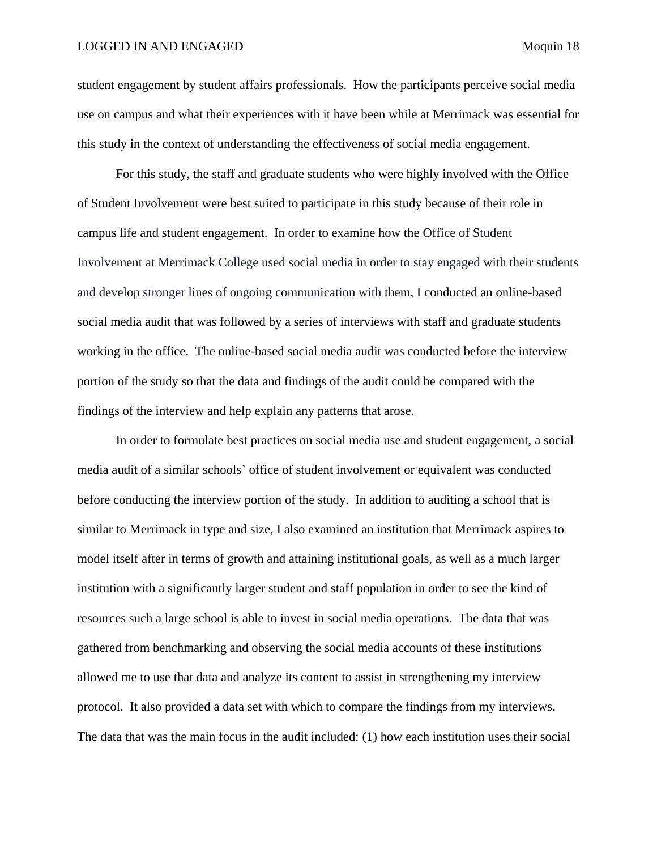## LOGGED IN AND ENGAGED Moquin 18

student engagement by student affairs professionals. How the participants perceive social media use on campus and what their experiences with it have been while at Merrimack was essential for this study in the context of understanding the effectiveness of social media engagement.

For this study, the staff and graduate students who were highly involved with the Office of Student Involvement were best suited to participate in this study because of their role in campus life and student engagement. In order to examine how the Office of Student Involvement at Merrimack College used social media in order to stay engaged with their students and develop stronger lines of ongoing communication with them, I conducted an online-based social media audit that was followed by a series of interviews with staff and graduate students working in the office. The online-based social media audit was conducted before the interview portion of the study so that the data and findings of the audit could be compared with the findings of the interview and help explain any patterns that arose.

In order to formulate best practices on social media use and student engagement, a social media audit of a similar schools' office of student involvement or equivalent was conducted before conducting the interview portion of the study. In addition to auditing a school that is similar to Merrimack in type and size, I also examined an institution that Merrimack aspires to model itself after in terms of growth and attaining institutional goals, as well as a much larger institution with a significantly larger student and staff population in order to see the kind of resources such a large school is able to invest in social media operations. The data that was gathered from benchmarking and observing the social media accounts of these institutions allowed me to use that data and analyze its content to assist in strengthening my interview protocol. It also provided a data set with which to compare the findings from my interviews. The data that was the main focus in the audit included: (1) how each institution uses their social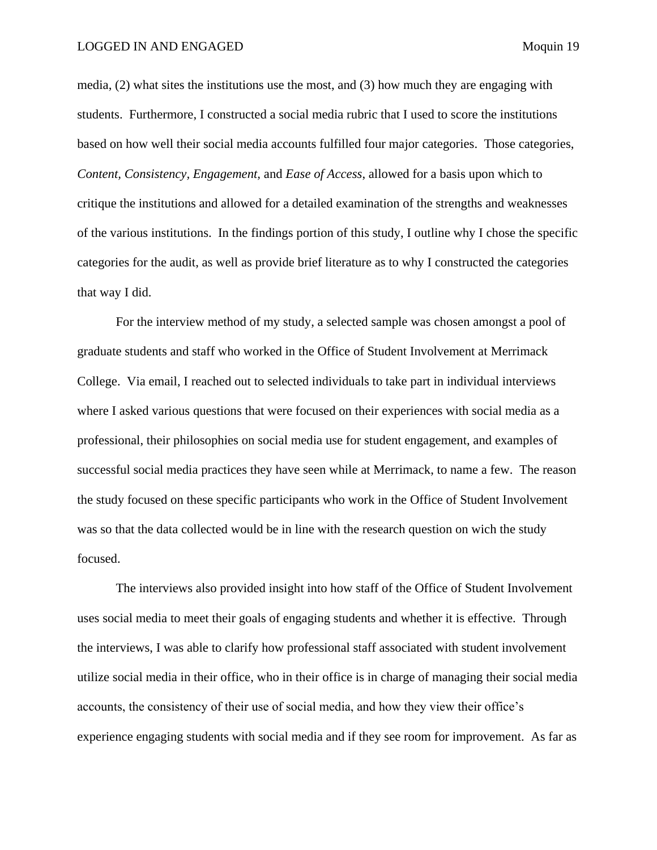media, (2) what sites the institutions use the most, and (3) how much they are engaging with students. Furthermore, I constructed a social media rubric that I used to score the institutions based on how well their social media accounts fulfilled four major categories. Those categories, *Content, Consistency, Engagement,* and *Ease of Access*, allowed for a basis upon which to critique the institutions and allowed for a detailed examination of the strengths and weaknesses of the various institutions. In the findings portion of this study, I outline why I chose the specific categories for the audit, as well as provide brief literature as to why I constructed the categories that way I did.

For the interview method of my study, a selected sample was chosen amongst a pool of graduate students and staff who worked in the Office of Student Involvement at Merrimack College. Via email, I reached out to selected individuals to take part in individual interviews where I asked various questions that were focused on their experiences with social media as a professional, their philosophies on social media use for student engagement, and examples of successful social media practices they have seen while at Merrimack, to name a few. The reason the study focused on these specific participants who work in the Office of Student Involvement was so that the data collected would be in line with the research question on wich the study focused.

The interviews also provided insight into how staff of the Office of Student Involvement uses social media to meet their goals of engaging students and whether it is effective. Through the interviews, I was able to clarify how professional staff associated with student involvement utilize social media in their office, who in their office is in charge of managing their social media accounts, the consistency of their use of social media, and how they view their office's experience engaging students with social media and if they see room for improvement. As far as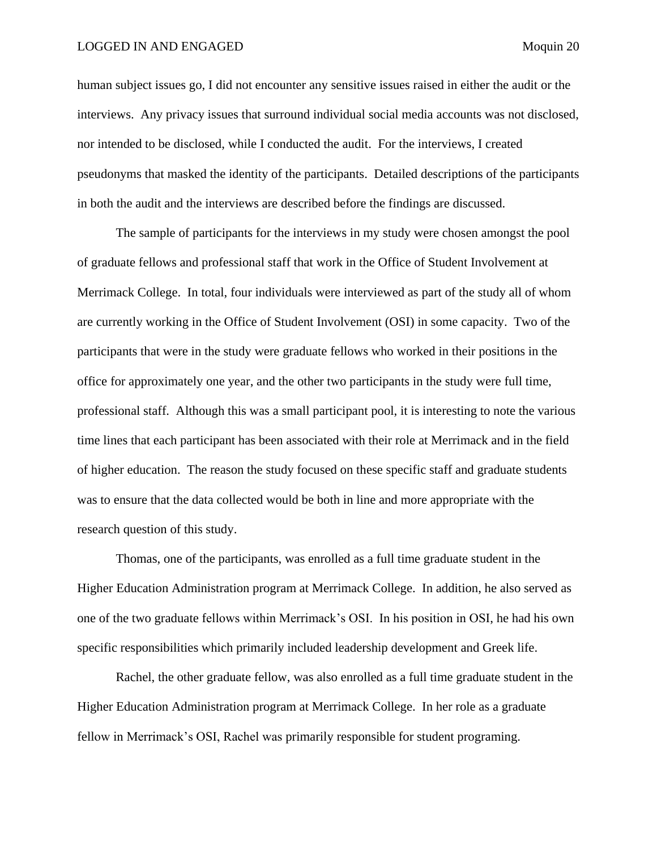human subject issues go, I did not encounter any sensitive issues raised in either the audit or the interviews. Any privacy issues that surround individual social media accounts was not disclosed, nor intended to be disclosed, while I conducted the audit. For the interviews, I created pseudonyms that masked the identity of the participants. Detailed descriptions of the participants in both the audit and the interviews are described before the findings are discussed.

The sample of participants for the interviews in my study were chosen amongst the pool of graduate fellows and professional staff that work in the Office of Student Involvement at Merrimack College. In total, four individuals were interviewed as part of the study all of whom are currently working in the Office of Student Involvement (OSI) in some capacity. Two of the participants that were in the study were graduate fellows who worked in their positions in the office for approximately one year, and the other two participants in the study were full time, professional staff. Although this was a small participant pool, it is interesting to note the various time lines that each participant has been associated with their role at Merrimack and in the field of higher education. The reason the study focused on these specific staff and graduate students was to ensure that the data collected would be both in line and more appropriate with the research question of this study.

Thomas, one of the participants, was enrolled as a full time graduate student in the Higher Education Administration program at Merrimack College. In addition, he also served as one of the two graduate fellows within Merrimack's OSI. In his position in OSI, he had his own specific responsibilities which primarily included leadership development and Greek life.

Rachel, the other graduate fellow, was also enrolled as a full time graduate student in the Higher Education Administration program at Merrimack College. In her role as a graduate fellow in Merrimack's OSI, Rachel was primarily responsible for student programing.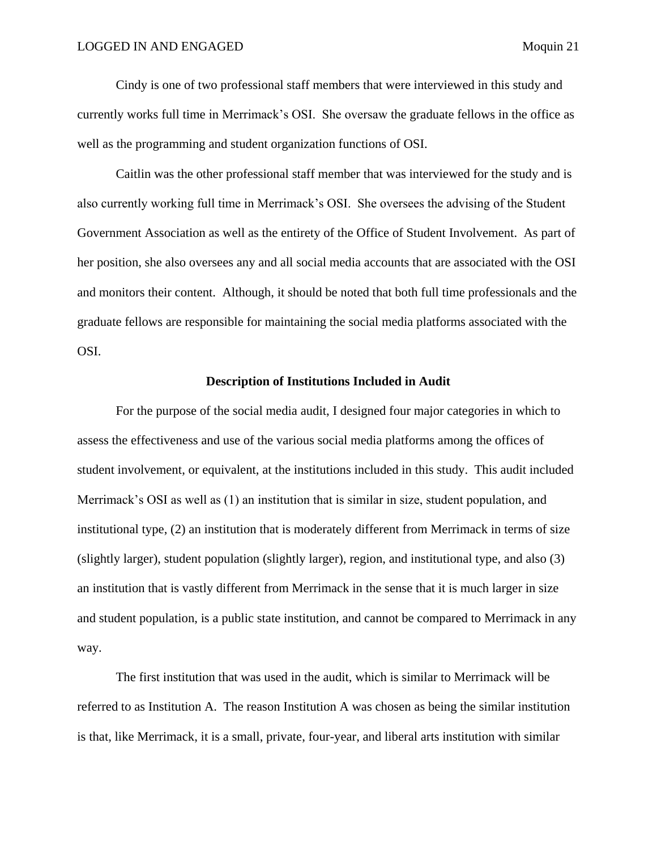Cindy is one of two professional staff members that were interviewed in this study and currently works full time in Merrimack's OSI. She oversaw the graduate fellows in the office as well as the programming and student organization functions of OSI.

Caitlin was the other professional staff member that was interviewed for the study and is also currently working full time in Merrimack's OSI. She oversees the advising of the Student Government Association as well as the entirety of the Office of Student Involvement. As part of her position, she also oversees any and all social media accounts that are associated with the OSI and monitors their content. Although, it should be noted that both full time professionals and the graduate fellows are responsible for maintaining the social media platforms associated with the OSI.

### **Description of Institutions Included in Audit**

<span id="page-21-0"></span>For the purpose of the social media audit, I designed four major categories in which to assess the effectiveness and use of the various social media platforms among the offices of student involvement, or equivalent, at the institutions included in this study. This audit included Merrimack's OSI as well as (1) an institution that is similar in size, student population, and institutional type, (2) an institution that is moderately different from Merrimack in terms of size (slightly larger), student population (slightly larger), region, and institutional type, and also (3) an institution that is vastly different from Merrimack in the sense that it is much larger in size and student population, is a public state institution, and cannot be compared to Merrimack in any way.

The first institution that was used in the audit, which is similar to Merrimack will be referred to as Institution A. The reason Institution A was chosen as being the similar institution is that, like Merrimack, it is a small, private, four-year, and liberal arts institution with similar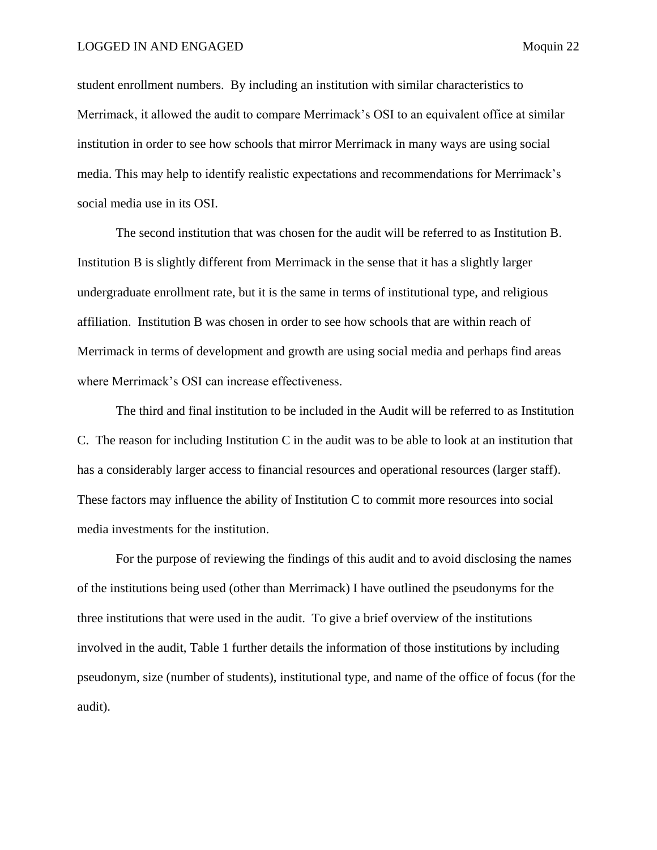student enrollment numbers. By including an institution with similar characteristics to Merrimack, it allowed the audit to compare Merrimack's OSI to an equivalent office at similar institution in order to see how schools that mirror Merrimack in many ways are using social media. This may help to identify realistic expectations and recommendations for Merrimack's social media use in its OSI.

The second institution that was chosen for the audit will be referred to as Institution B. Institution B is slightly different from Merrimack in the sense that it has a slightly larger undergraduate enrollment rate, but it is the same in terms of institutional type, and religious affiliation. Institution B was chosen in order to see how schools that are within reach of Merrimack in terms of development and growth are using social media and perhaps find areas where Merrimack's OSI can increase effectiveness.

The third and final institution to be included in the Audit will be referred to as Institution C. The reason for including Institution C in the audit was to be able to look at an institution that has a considerably larger access to financial resources and operational resources (larger staff). These factors may influence the ability of Institution C to commit more resources into social media investments for the institution.

For the purpose of reviewing the findings of this audit and to avoid disclosing the names of the institutions being used (other than Merrimack) I have outlined the pseudonyms for the three institutions that were used in the audit. To give a brief overview of the institutions involved in the audit, Table 1 further details the information of those institutions by including pseudonym, size (number of students), institutional type, and name of the office of focus (for the audit).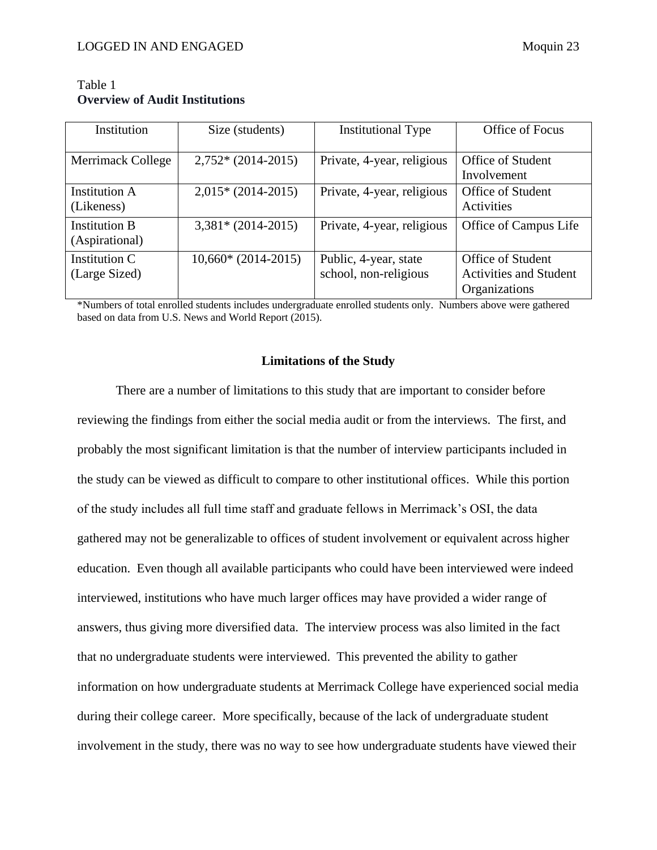| Institution                            | Size (students)      | <b>Institutional Type</b>                      | Office of Focus                                                            |
|----------------------------------------|----------------------|------------------------------------------------|----------------------------------------------------------------------------|
| Merrimack College                      | $2,752*(2014-2015)$  | Private, 4-year, religious                     | <b>Office of Student</b><br>Involvement                                    |
| <b>Institution A</b><br>(Likeness)     | $2,015*(2014-2015)$  | Private, 4-year, religious                     | <b>Office of Student</b><br>Activities                                     |
| <b>Institution B</b><br>(Aspirational) | $3,381* (2014-2015)$ | Private, 4-year, religious                     | Office of Campus Life                                                      |
| Institution C<br>(Large Sized)         | $10,660*(2014-2015)$ | Public, 4-year, state<br>school, non-religious | <b>Office of Student</b><br><b>Activities and Student</b><br>Organizations |

<span id="page-23-0"></span>Table 1 **Overview of Audit Institutions**

\*Numbers of total enrolled students includes undergraduate enrolled students only. Numbers above were gathered based on data from U.S. News and World Report (2015).

## **Limitations of the Study**

<span id="page-23-1"></span>There are a number of limitations to this study that are important to consider before reviewing the findings from either the social media audit or from the interviews. The first, and probably the most significant limitation is that the number of interview participants included in the study can be viewed as difficult to compare to other institutional offices. While this portion of the study includes all full time staff and graduate fellows in Merrimack's OSI, the data gathered may not be generalizable to offices of student involvement or equivalent across higher education. Even though all available participants who could have been interviewed were indeed interviewed, institutions who have much larger offices may have provided a wider range of answers, thus giving more diversified data. The interview process was also limited in the fact that no undergraduate students were interviewed. This prevented the ability to gather information on how undergraduate students at Merrimack College have experienced social media during their college career. More specifically, because of the lack of undergraduate student involvement in the study, there was no way to see how undergraduate students have viewed their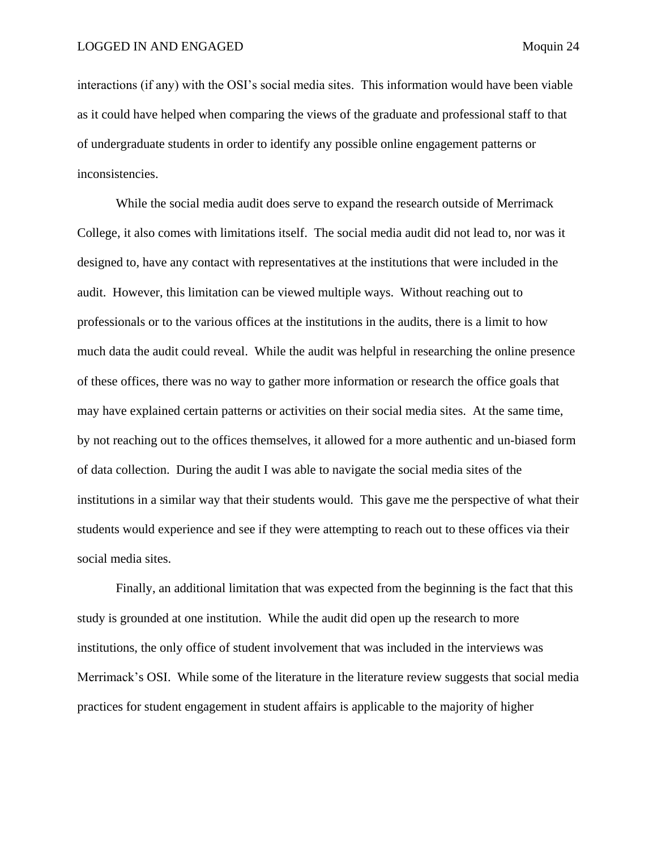interactions (if any) with the OSI's social media sites. This information would have been viable as it could have helped when comparing the views of the graduate and professional staff to that of undergraduate students in order to identify any possible online engagement patterns or inconsistencies.

While the social media audit does serve to expand the research outside of Merrimack College, it also comes with limitations itself. The social media audit did not lead to, nor was it designed to, have any contact with representatives at the institutions that were included in the audit. However, this limitation can be viewed multiple ways. Without reaching out to professionals or to the various offices at the institutions in the audits, there is a limit to how much data the audit could reveal. While the audit was helpful in researching the online presence of these offices, there was no way to gather more information or research the office goals that may have explained certain patterns or activities on their social media sites. At the same time, by not reaching out to the offices themselves, it allowed for a more authentic and un-biased form of data collection. During the audit I was able to navigate the social media sites of the institutions in a similar way that their students would. This gave me the perspective of what their students would experience and see if they were attempting to reach out to these offices via their social media sites.

Finally, an additional limitation that was expected from the beginning is the fact that this study is grounded at one institution. While the audit did open up the research to more institutions, the only office of student involvement that was included in the interviews was Merrimack's OSI. While some of the literature in the literature review suggests that social media practices for student engagement in student affairs is applicable to the majority of higher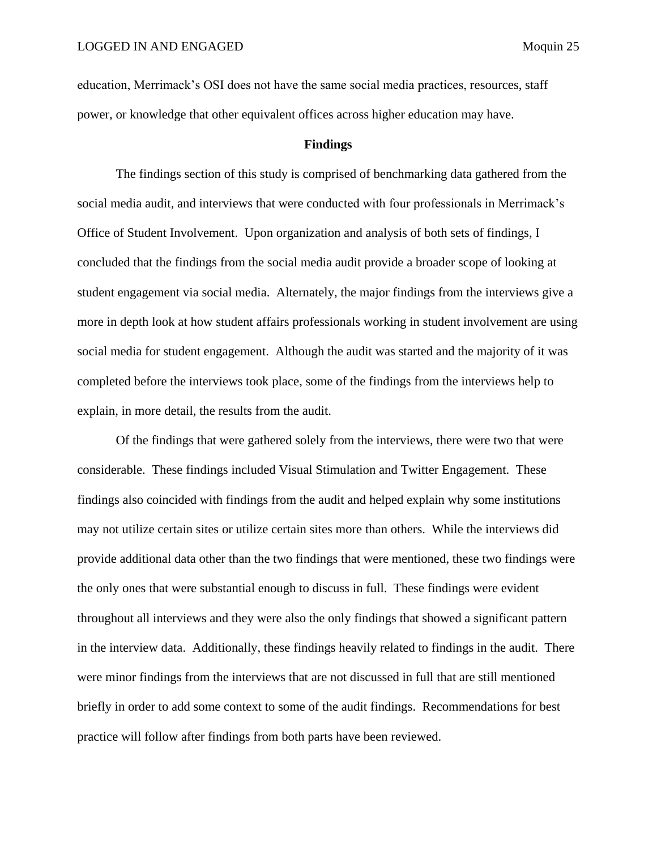education, Merrimack's OSI does not have the same social media practices, resources, staff power, or knowledge that other equivalent offices across higher education may have.

# **Findings**

<span id="page-25-0"></span>The findings section of this study is comprised of benchmarking data gathered from the social media audit, and interviews that were conducted with four professionals in Merrimack's Office of Student Involvement. Upon organization and analysis of both sets of findings, I concluded that the findings from the social media audit provide a broader scope of looking at student engagement via social media. Alternately, the major findings from the interviews give a more in depth look at how student affairs professionals working in student involvement are using social media for student engagement. Although the audit was started and the majority of it was completed before the interviews took place, some of the findings from the interviews help to explain, in more detail, the results from the audit.

Of the findings that were gathered solely from the interviews, there were two that were considerable. These findings included Visual Stimulation and Twitter Engagement. These findings also coincided with findings from the audit and helped explain why some institutions may not utilize certain sites or utilize certain sites more than others. While the interviews did provide additional data other than the two findings that were mentioned, these two findings were the only ones that were substantial enough to discuss in full. These findings were evident throughout all interviews and they were also the only findings that showed a significant pattern in the interview data. Additionally, these findings heavily related to findings in the audit. There were minor findings from the interviews that are not discussed in full that are still mentioned briefly in order to add some context to some of the audit findings. Recommendations for best practice will follow after findings from both parts have been reviewed.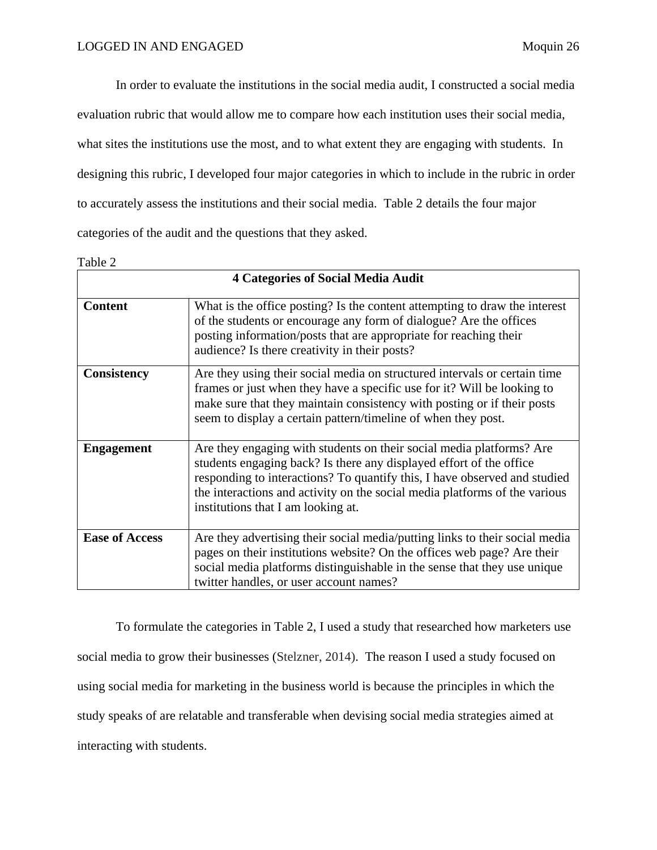In order to evaluate the institutions in the social media audit, I constructed a social media evaluation rubric that would allow me to compare how each institution uses their social media, what sites the institutions use the most, and to what extent they are engaging with students. In designing this rubric, I developed four major categories in which to include in the rubric in order to accurately assess the institutions and their social media. Table 2 details the four major categories of the audit and the questions that they asked.

Table 2

| <b>4 Categories of Social Media Audit</b> |                                                                                                                                                                                                                                                                                                                                              |  |  |  |
|-------------------------------------------|----------------------------------------------------------------------------------------------------------------------------------------------------------------------------------------------------------------------------------------------------------------------------------------------------------------------------------------------|--|--|--|
| <b>Content</b>                            | What is the office posting? Is the content attempting to draw the interest<br>of the students or encourage any form of dialogue? Are the offices<br>posting information/posts that are appropriate for reaching their<br>audience? Is there creativity in their posts?                                                                       |  |  |  |
| Consistency                               | Are they using their social media on structured intervals or certain time<br>frames or just when they have a specific use for it? Will be looking to<br>make sure that they maintain consistency with posting or if their posts<br>seem to display a certain pattern/timeline of when they post.                                             |  |  |  |
| <b>Engagement</b>                         | Are they engaging with students on their social media platforms? Are<br>students engaging back? Is there any displayed effort of the office<br>responding to interactions? To quantify this, I have observed and studied<br>the interactions and activity on the social media platforms of the various<br>institutions that I am looking at. |  |  |  |
| <b>Ease of Access</b>                     | Are they advertising their social media/putting links to their social media<br>pages on their institutions website? On the offices web page? Are their<br>social media platforms distinguishable in the sense that they use unique<br>twitter handles, or user account names?                                                                |  |  |  |

To formulate the categories in Table 2, I used a study that researched how marketers use social media to grow their businesses (Stelzner, 2014). The reason I used a study focused on using social media for marketing in the business world is because the principles in which the study speaks of are relatable and transferable when devising social media strategies aimed at interacting with students.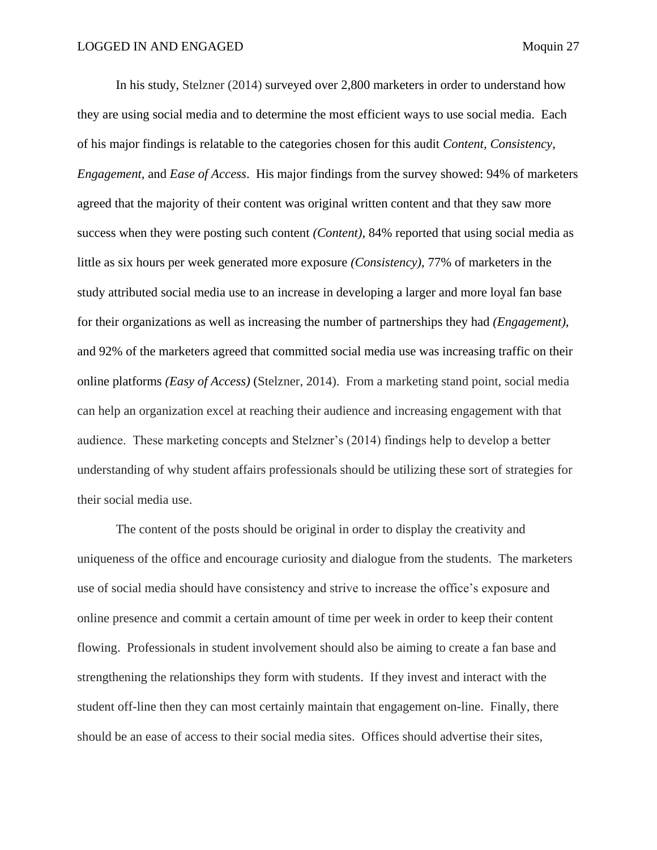In his study, Stelzner (2014) surveyed over 2,800 marketers in order to understand how they are using social media and to determine the most efficient ways to use social media. Each of his major findings is relatable to the categories chosen for this audit *Content, Consistency, Engagement,* and *Ease of Access*. His major findings from the survey showed: 94% of marketers agreed that the majority of their content was original written content and that they saw more success when they were posting such content *(Content)*, 84% reported that using social media as little as six hours per week generated more exposure *(Consistency)*, 77% of marketers in the study attributed social media use to an increase in developing a larger and more loyal fan base for their organizations as well as increasing the number of partnerships they had *(Engagement)*, and 92% of the marketers agreed that committed social media use was increasing traffic on their online platforms *(Easy of Access)* (Stelzner, 2014). From a marketing stand point, social media can help an organization excel at reaching their audience and increasing engagement with that audience. These marketing concepts and Stelzner's (2014) findings help to develop a better understanding of why student affairs professionals should be utilizing these sort of strategies for their social media use.

The content of the posts should be original in order to display the creativity and uniqueness of the office and encourage curiosity and dialogue from the students. The marketers use of social media should have consistency and strive to increase the office's exposure and online presence and commit a certain amount of time per week in order to keep their content flowing. Professionals in student involvement should also be aiming to create a fan base and strengthening the relationships they form with students. If they invest and interact with the student off-line then they can most certainly maintain that engagement on-line. Finally, there should be an ease of access to their social media sites. Offices should advertise their sites,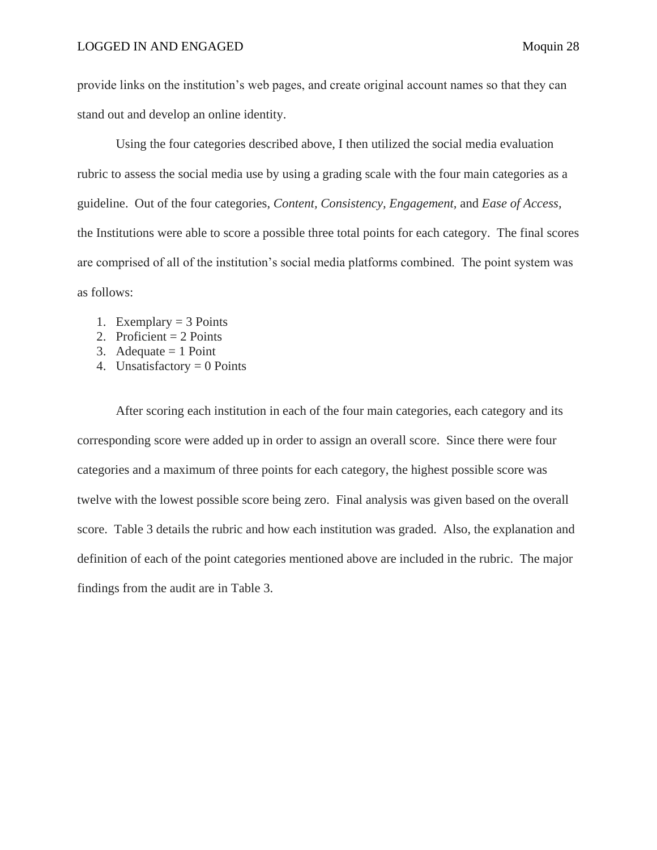provide links on the institution's web pages, and create original account names so that they can stand out and develop an online identity.

Using the four categories described above, I then utilized the social media evaluation rubric to assess the social media use by using a grading scale with the four main categories as a guideline. Out of the four categories, *Content, Consistency, Engagement,* and *Ease of Access,*  the Institutions were able to score a possible three total points for each category. The final scores are comprised of all of the institution's social media platforms combined. The point system was as follows:

- 1. Exemplary  $=$  3 Points
- 2. Proficient  $= 2$  Points
- 3. Adequate  $= 1$  Point
- 4. Unsatisfactory  $= 0$  Points

After scoring each institution in each of the four main categories, each category and its corresponding score were added up in order to assign an overall score. Since there were four categories and a maximum of three points for each category, the highest possible score was twelve with the lowest possible score being zero. Final analysis was given based on the overall score. Table 3 details the rubric and how each institution was graded. Also, the explanation and definition of each of the point categories mentioned above are included in the rubric. The major findings from the audit are in Table 3.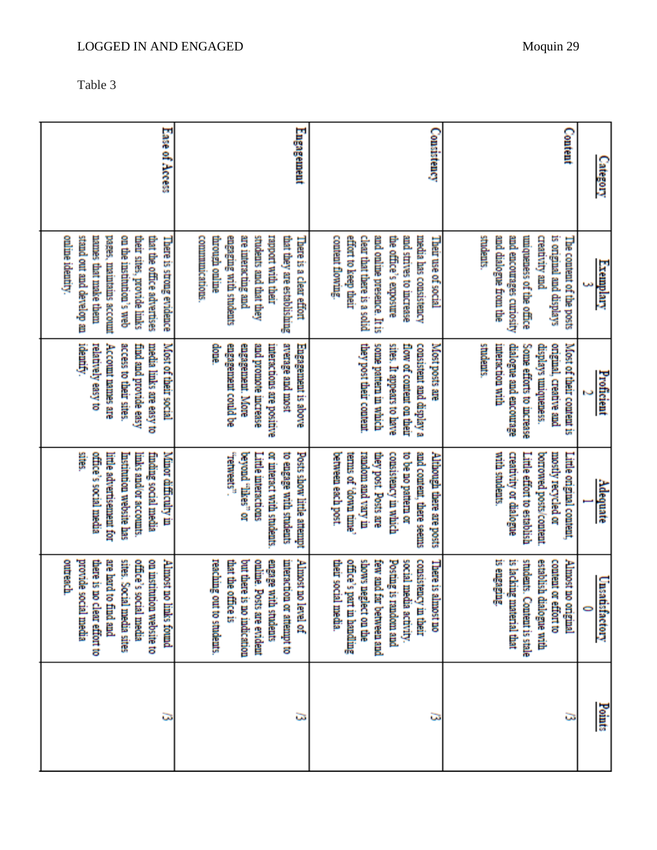| ını<br>х.<br>r۱ |  |
|-----------------|--|
|-----------------|--|

| outreach.<br>provide social media<br>on institution website to<br>are hard to find and<br>sites. Social media sites<br>office's social media<br>Almost no links found<br>there is no clear effort to | ă<br>Minor difficulty in<br>office's social media<br>finding social media<br>little advertisement for<br><b>Institution website has</b><br>imks and/or accounts.                                 | idemify.<br>relatively easy to<br>Account names are<br>access to their sites.<br>media links are easy to<br>Most of their social<br>find and provide easy      | online identity.<br>stand out and develop an<br>pages, maintains account<br>on the institution's web<br>names that make them<br>their sites, provide links<br>that the office advertises<br>There is strong evidence | Ease of Access |
|------------------------------------------------------------------------------------------------------------------------------------------------------------------------------------------------------|--------------------------------------------------------------------------------------------------------------------------------------------------------------------------------------------------|----------------------------------------------------------------------------------------------------------------------------------------------------------------|----------------------------------------------------------------------------------------------------------------------------------------------------------------------------------------------------------------------|----------------|
| reaching out to students.<br>engage with students<br>interaction or attempt to<br>Almost no level of<br>but there is no indication<br>online. Posts are evident<br>that the office is                | "retweets".<br>or interact with students<br>Posts show little attempt<br>beyond "ilkes" or<br>Little interactions<br>to engage with students                                                     | average and most<br>done.<br>and promote increase<br>engagement could be<br>engagement. More<br>interactions are positive<br>Engagement is above               | engaging with students<br>rapport with their<br><b>COMMUNICATIONS</b><br>through online<br>are interacting and<br>students and that they<br>that they are establishing<br>There is a clear effort                    | Engagement     |
| shows neglect on the<br>consistency in their<br>office's part in handling<br>few and far between and<br>Posting is random and<br>social media activity.<br>There is almost no<br>their social media. | mi yusu baa mobast<br>and content, there seems<br>they post. Posts are<br>consistency in which<br>to be no pattern or<br>Although there are posts<br>between each post.<br>emmin myob' down time | they post their content<br>some pattern in which<br>sites. It appears to have<br>consistent and display a<br>Most posts are<br>flow of content on their        | and online presence. It is<br>content flowing<br>effort to keep their<br>the office's exposure<br>and strives to increase<br>media has consistency<br>clear that there is a solid<br>Their use of social             | Consistency    |
| re engaging<br>is lacking material that<br>students. Content is stale<br>establish dialogue with<br>content or effort to<br>Almost no original                                                       | with students.<br>creativity or dialogue<br>borrowed posts/content<br>mostly recycled or<br>Little original content,<br>Little effort to establish                                               | students.<br>Most of their content is<br>interaction with<br>ongmal, creative and<br>dialogue and encourage<br>Some efforts to increase<br>displays uniqueness | students<br>and encourages curiosity<br>and dialogue from the<br>uniqueness of the office<br>is original and displays<br><b>Creativity and</b><br>The content of the posts                                           | Content        |
| Unsatisfactory<br>0                                                                                                                                                                                  | <b>Adequate</b>                                                                                                                                                                                  | Proficient                                                                                                                                                     | Exemplary                                                                                                                                                                                                            | Category       |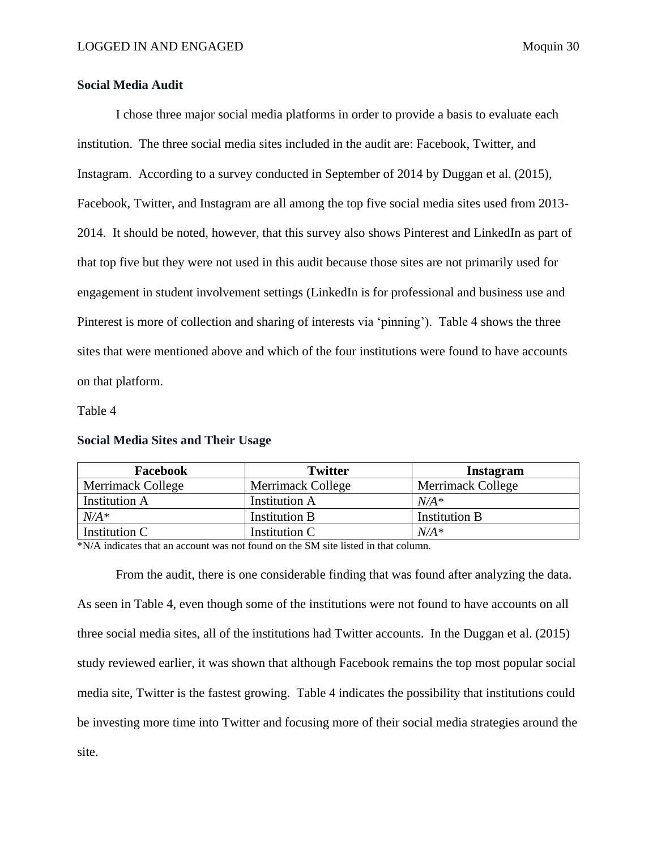# <span id="page-30-0"></span>**Social Media Audit**

I chose three major social media platforms in order to provide a basis to evaluate each institution. The three social media sites included in the audit are: Facebook, Twitter, and Instagram. According to a survey conducted in September of 2014 by Duggan et al. (2015), Facebook, Twitter, and Instagram are all among the top five social media sites used from 2013- 2014. It should be noted, however, that this survey also shows Pinterest and LinkedIn as part of that top five but they were not used in this audit because those sites are not primarily used for engagement in student involvement settings (LinkedIn is for professional and business use and Pinterest is more of collection and sharing of interests via 'pinning'). Table 4 shows the three sites that were mentioned above and which of the four institutions were found to have accounts on that platform.

## Table 4

| Facebook             | <b>Twitter</b>       | <b>Instagram</b>         |
|----------------------|----------------------|--------------------------|
| Merrimack College    | Merrimack College    | <b>Merrimack College</b> |
| <b>Institution A</b> | <b>Institution A</b> | $N/A^*$                  |
| $N/A^*$              | <b>Institution B</b> | <b>Institution B</b>     |
| Institution C        | Institution C        | $N/A^*$                  |

## <span id="page-30-1"></span>**Social Media Sites and Their Usage**

\*N/A indicates that an account was not found on the SM site listed in that column.

From the audit, there is one considerable finding that was found after analyzing the data. As seen in Table 4, even though some of the institutions were not found to have accounts on all three social media sites, all of the institutions had Twitter accounts. In the Duggan et al. (2015) study reviewed earlier, it was shown that although Facebook remains the top most popular social media site, Twitter is the fastest growing. Table 4 indicates the possibility that institutions could be investing more time into Twitter and focusing more of their social media strategies around the site.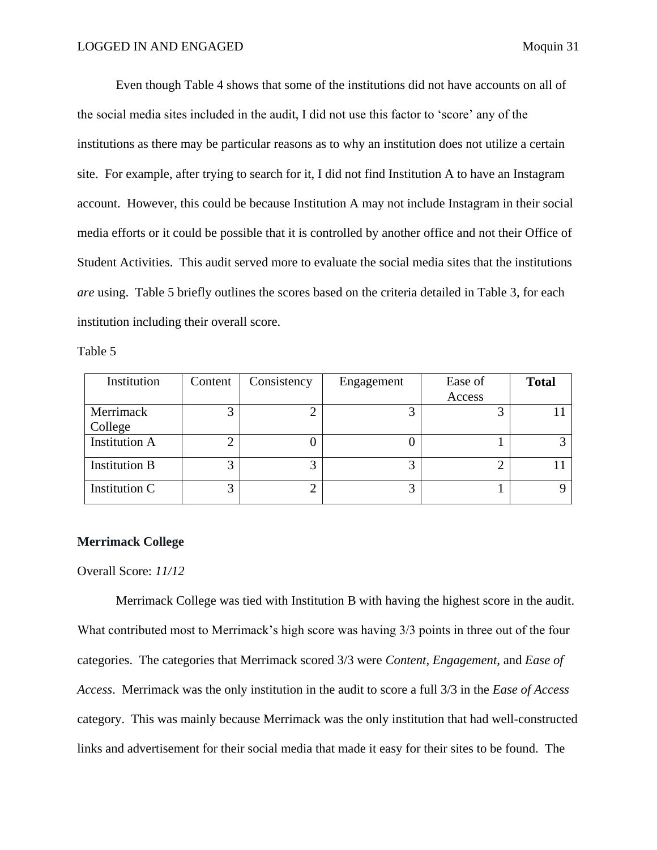Even though Table 4 shows that some of the institutions did not have accounts on all of the social media sites included in the audit, I did not use this factor to 'score' any of the institutions as there may be particular reasons as to why an institution does not utilize a certain site. For example, after trying to search for it, I did not find Institution A to have an Instagram account. However, this could be because Institution A may not include Instagram in their social media efforts or it could be possible that it is controlled by another office and not their Office of Student Activities. This audit served more to evaluate the social media sites that the institutions *are* using. Table 5 briefly outlines the scores based on the criteria detailed in Table 3, for each institution including their overall score.

Table 5

| Institution          | Content | Consistency | Engagement | Ease of | <b>Total</b> |
|----------------------|---------|-------------|------------|---------|--------------|
|                      |         |             |            | Access  |              |
| Merrimack            |         |             | ⌒          |         |              |
| College              |         |             |            |         |              |
| <b>Institution A</b> |         |             |            |         |              |
| <b>Institution B</b> | 3       |             | っ          |         |              |
| Institution C        | っ       |             | 3          |         |              |

## <span id="page-31-0"></span>**Merrimack College**

Overall Score: *11/12*

Merrimack College was tied with Institution B with having the highest score in the audit. What contributed most to Merrimack's high score was having 3/3 points in three out of the four categories. The categories that Merrimack scored 3/3 were *Content, Engagement,* and *Ease of Access*. Merrimack was the only institution in the audit to score a full 3/3 in the *Ease of Access* category. This was mainly because Merrimack was the only institution that had well-constructed links and advertisement for their social media that made it easy for their sites to be found. The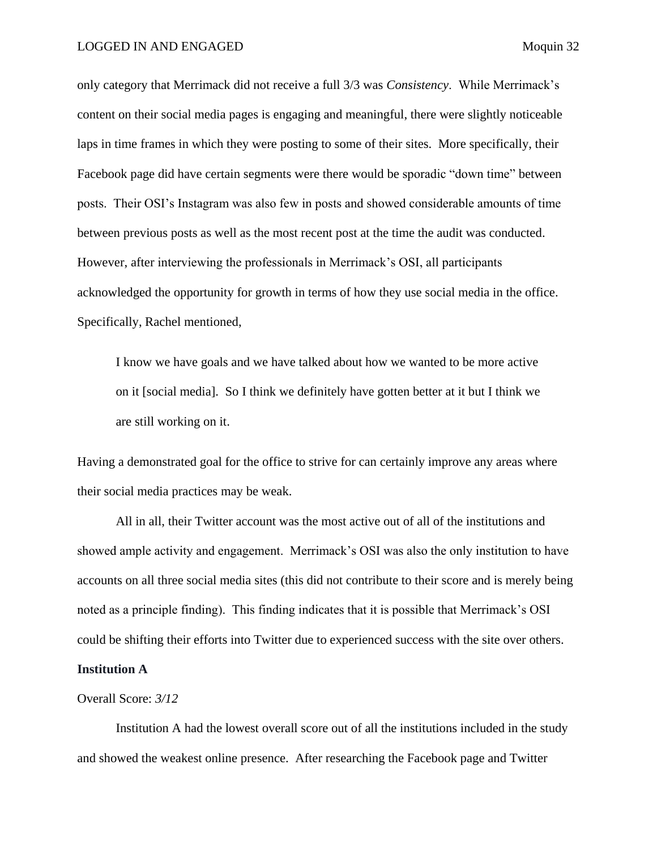## LOGGED IN AND ENGAGED Moquin 32

only category that Merrimack did not receive a full 3/3 was *Consistency*. While Merrimack's content on their social media pages is engaging and meaningful, there were slightly noticeable laps in time frames in which they were posting to some of their sites. More specifically, their Facebook page did have certain segments were there would be sporadic "down time" between posts. Their OSI's Instagram was also few in posts and showed considerable amounts of time between previous posts as well as the most recent post at the time the audit was conducted. However, after interviewing the professionals in Merrimack's OSI, all participants acknowledged the opportunity for growth in terms of how they use social media in the office. Specifically, Rachel mentioned,

I know we have goals and we have talked about how we wanted to be more active on it [social media]. So I think we definitely have gotten better at it but I think we are still working on it.

Having a demonstrated goal for the office to strive for can certainly improve any areas where their social media practices may be weak.

All in all, their Twitter account was the most active out of all of the institutions and showed ample activity and engagement. Merrimack's OSI was also the only institution to have accounts on all three social media sites (this did not contribute to their score and is merely being noted as a principle finding). This finding indicates that it is possible that Merrimack's OSI could be shifting their efforts into Twitter due to experienced success with the site over others.

# <span id="page-32-0"></span>**Institution A**

# Overall Score: *3/12*

Institution A had the lowest overall score out of all the institutions included in the study and showed the weakest online presence. After researching the Facebook page and Twitter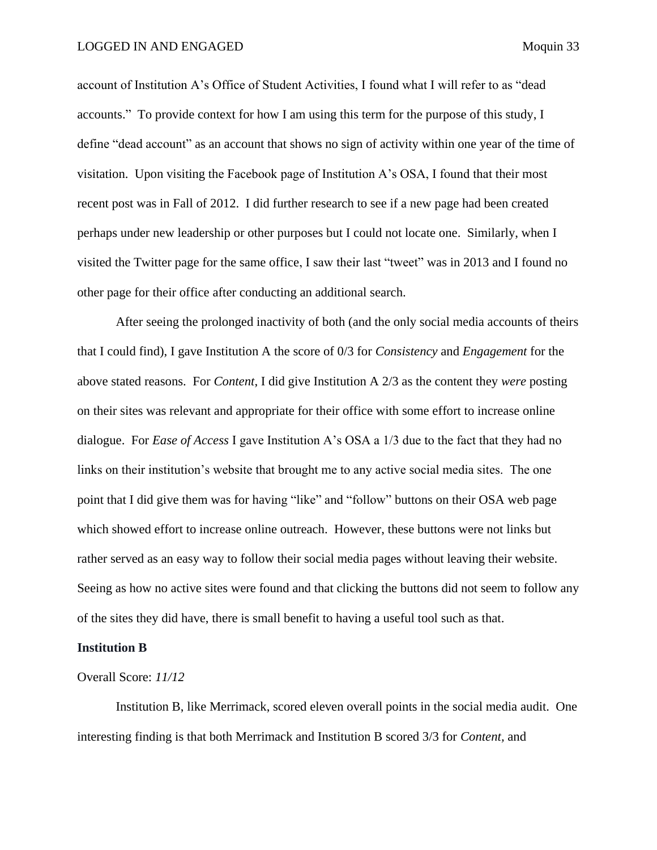account of Institution A's Office of Student Activities, I found what I will refer to as "dead accounts." To provide context for how I am using this term for the purpose of this study, I define "dead account" as an account that shows no sign of activity within one year of the time of visitation. Upon visiting the Facebook page of Institution A's OSA, I found that their most recent post was in Fall of 2012. I did further research to see if a new page had been created perhaps under new leadership or other purposes but I could not locate one. Similarly, when I visited the Twitter page for the same office, I saw their last "tweet" was in 2013 and I found no other page for their office after conducting an additional search.

After seeing the prolonged inactivity of both (and the only social media accounts of theirs that I could find), I gave Institution A the score of 0/3 for *Consistency* and *Engagement* for the above stated reasons. For *Content*, I did give Institution A 2/3 as the content they *were* posting on their sites was relevant and appropriate for their office with some effort to increase online dialogue. For *Ease of Access* I gave Institution A's OSA a 1/3 due to the fact that they had no links on their institution's website that brought me to any active social media sites. The one point that I did give them was for having "like" and "follow" buttons on their OSA web page which showed effort to increase online outreach. However, these buttons were not links but rather served as an easy way to follow their social media pages without leaving their website. Seeing as how no active sites were found and that clicking the buttons did not seem to follow any of the sites they did have, there is small benefit to having a useful tool such as that.

# <span id="page-33-0"></span>**Institution B**

# Overall Score: *11/12*

Institution B, like Merrimack, scored eleven overall points in the social media audit. One interesting finding is that both Merrimack and Institution B scored 3/3 for *Content,* and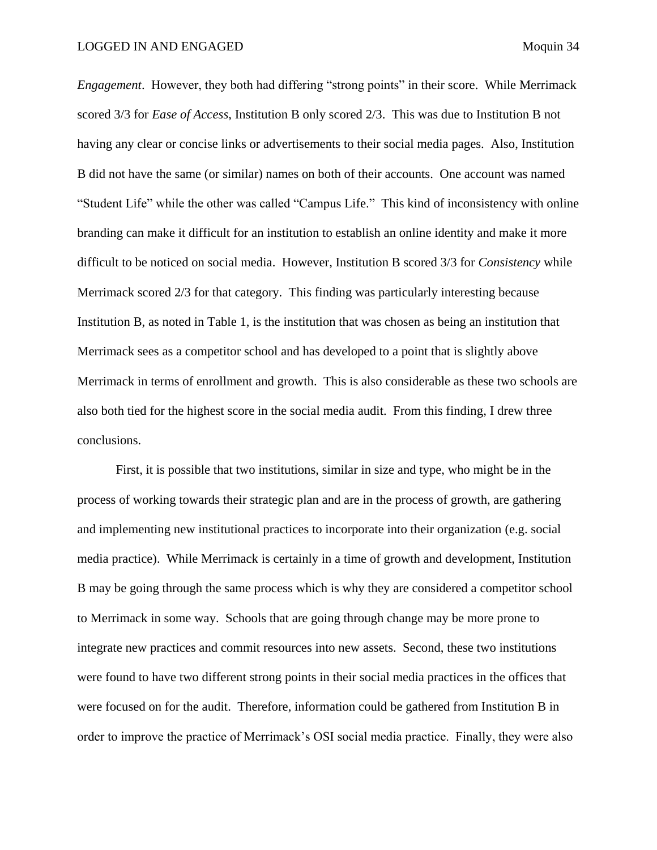*Engagement*. However, they both had differing "strong points" in their score. While Merrimack scored 3/3 for *Ease of Access*, Institution B only scored 2/3. This was due to Institution B not having any clear or concise links or advertisements to their social media pages. Also, Institution B did not have the same (or similar) names on both of their accounts. One account was named "Student Life" while the other was called "Campus Life." This kind of inconsistency with online branding can make it difficult for an institution to establish an online identity and make it more difficult to be noticed on social media. However, Institution B scored 3/3 for *Consistency* while Merrimack scored 2/3 for that category. This finding was particularly interesting because Institution B, as noted in Table 1, is the institution that was chosen as being an institution that Merrimack sees as a competitor school and has developed to a point that is slightly above Merrimack in terms of enrollment and growth. This is also considerable as these two schools are also both tied for the highest score in the social media audit. From this finding, I drew three conclusions.

First, it is possible that two institutions, similar in size and type, who might be in the process of working towards their strategic plan and are in the process of growth, are gathering and implementing new institutional practices to incorporate into their organization (e.g. social media practice). While Merrimack is certainly in a time of growth and development, Institution B may be going through the same process which is why they are considered a competitor school to Merrimack in some way. Schools that are going through change may be more prone to integrate new practices and commit resources into new assets. Second, these two institutions were found to have two different strong points in their social media practices in the offices that were focused on for the audit. Therefore, information could be gathered from Institution B in order to improve the practice of Merrimack's OSI social media practice. Finally, they were also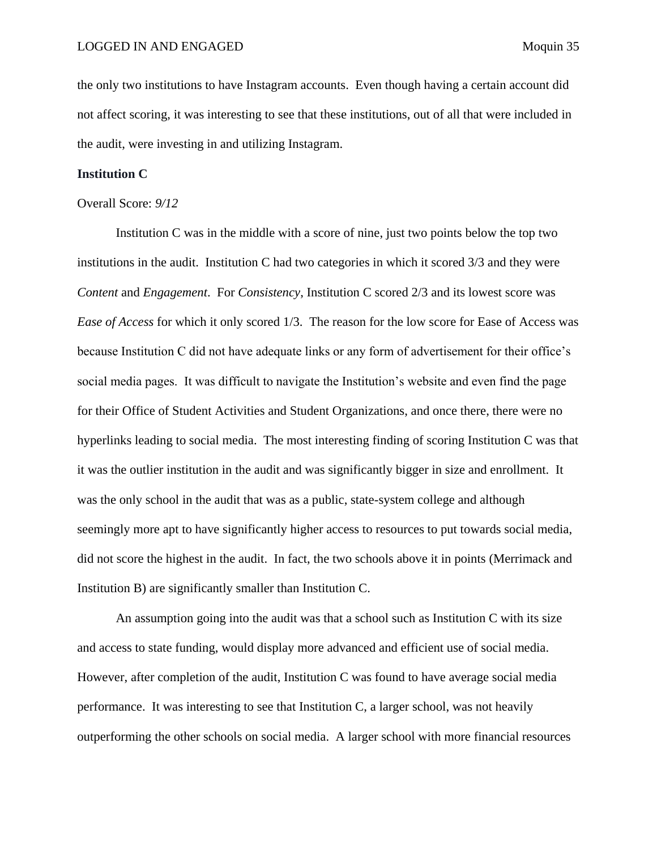the only two institutions to have Instagram accounts. Even though having a certain account did not affect scoring, it was interesting to see that these institutions, out of all that were included in the audit, were investing in and utilizing Instagram.

## <span id="page-35-0"></span>**Institution C**

# Overall Score: *9/12*

Institution C was in the middle with a score of nine, just two points below the top two institutions in the audit. Institution C had two categories in which it scored 3/3 and they were *Content* and *Engagement*. For *Consistency*, Institution C scored 2/3 and its lowest score was *Ease of Access* for which it only scored 1/3. The reason for the low score for Ease of Access was because Institution C did not have adequate links or any form of advertisement for their office's social media pages. It was difficult to navigate the Institution's website and even find the page for their Office of Student Activities and Student Organizations, and once there, there were no hyperlinks leading to social media. The most interesting finding of scoring Institution C was that it was the outlier institution in the audit and was significantly bigger in size and enrollment. It was the only school in the audit that was as a public, state-system college and although seemingly more apt to have significantly higher access to resources to put towards social media, did not score the highest in the audit. In fact, the two schools above it in points (Merrimack and Institution B) are significantly smaller than Institution C.

An assumption going into the audit was that a school such as Institution C with its size and access to state funding, would display more advanced and efficient use of social media. However, after completion of the audit, Institution C was found to have average social media performance. It was interesting to see that Institution C, a larger school, was not heavily outperforming the other schools on social media. A larger school with more financial resources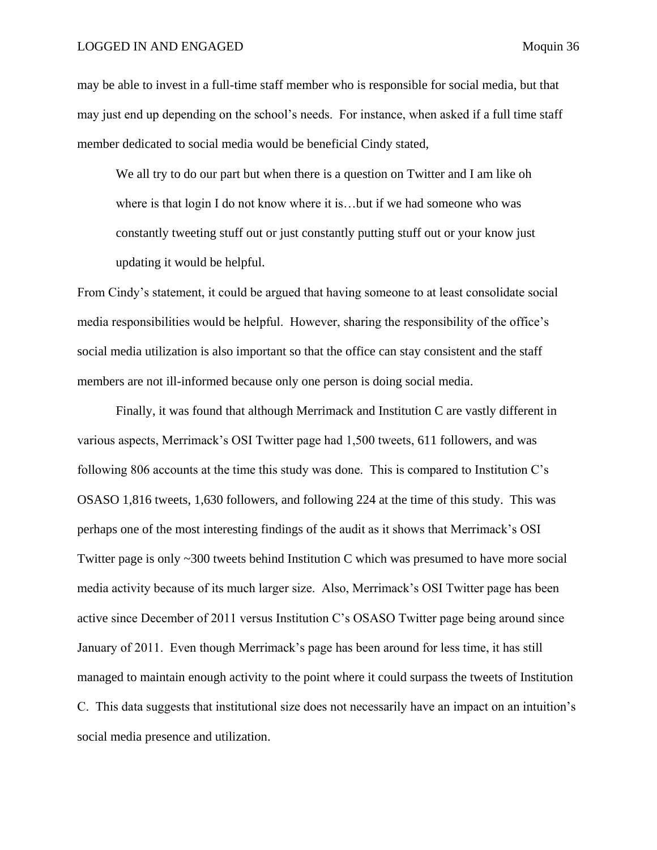## LOGGED IN AND ENGAGED Moquin 36

may be able to invest in a full-time staff member who is responsible for social media, but that may just end up depending on the school's needs. For instance, when asked if a full time staff member dedicated to social media would be beneficial Cindy stated,

We all try to do our part but when there is a question on Twitter and I am like oh where is that login I do not know where it is...but if we had someone who was constantly tweeting stuff out or just constantly putting stuff out or your know just updating it would be helpful.

From Cindy's statement, it could be argued that having someone to at least consolidate social media responsibilities would be helpful. However, sharing the responsibility of the office's social media utilization is also important so that the office can stay consistent and the staff members are not ill-informed because only one person is doing social media.

Finally, it was found that although Merrimack and Institution C are vastly different in various aspects, Merrimack's OSI Twitter page had 1,500 tweets, 611 followers, and was following 806 accounts at the time this study was done. This is compared to Institution C's OSASO 1,816 tweets, 1,630 followers, and following 224 at the time of this study. This was perhaps one of the most interesting findings of the audit as it shows that Merrimack's OSI Twitter page is only ~300 tweets behind Institution C which was presumed to have more social media activity because of its much larger size. Also, Merrimack's OSI Twitter page has been active since December of 2011 versus Institution C's OSASO Twitter page being around since January of 2011. Even though Merrimack's page has been around for less time, it has still managed to maintain enough activity to the point where it could surpass the tweets of Institution C. This data suggests that institutional size does not necessarily have an impact on an intuition's social media presence and utilization.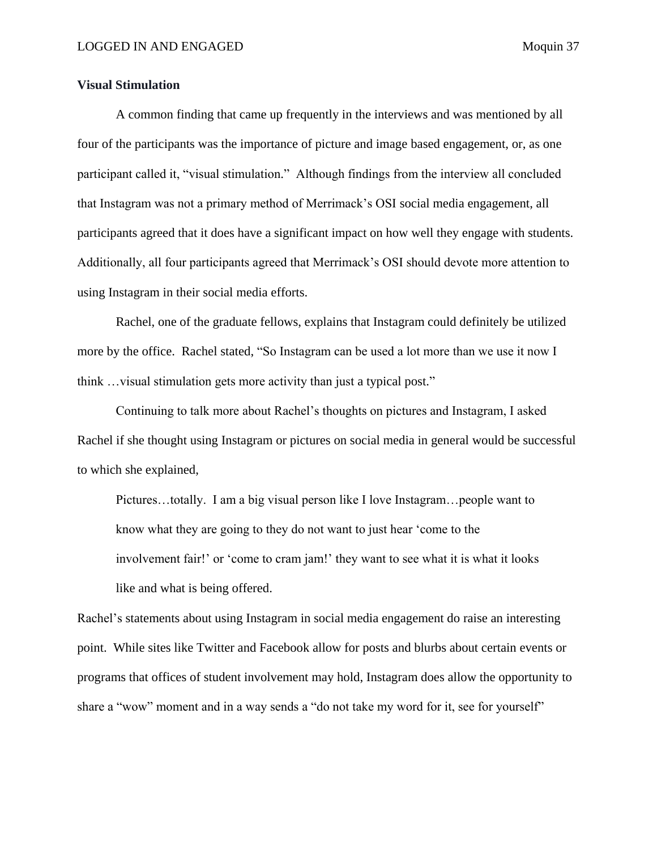# <span id="page-37-0"></span>**Visual Stimulation**

A common finding that came up frequently in the interviews and was mentioned by all four of the participants was the importance of picture and image based engagement, or, as one participant called it, "visual stimulation." Although findings from the interview all concluded that Instagram was not a primary method of Merrimack's OSI social media engagement, all participants agreed that it does have a significant impact on how well they engage with students. Additionally, all four participants agreed that Merrimack's OSI should devote more attention to using Instagram in their social media efforts.

Rachel, one of the graduate fellows, explains that Instagram could definitely be utilized more by the office. Rachel stated, "So Instagram can be used a lot more than we use it now I think …visual stimulation gets more activity than just a typical post."

Continuing to talk more about Rachel's thoughts on pictures and Instagram, I asked Rachel if she thought using Instagram or pictures on social media in general would be successful to which she explained,

Pictures…totally. I am a big visual person like I love Instagram…people want to know what they are going to they do not want to just hear 'come to the involvement fair!' or 'come to cram jam!' they want to see what it is what it looks like and what is being offered.

Rachel's statements about using Instagram in social media engagement do raise an interesting point. While sites like Twitter and Facebook allow for posts and blurbs about certain events or programs that offices of student involvement may hold, Instagram does allow the opportunity to share a "wow" moment and in a way sends a "do not take my word for it, see for yourself"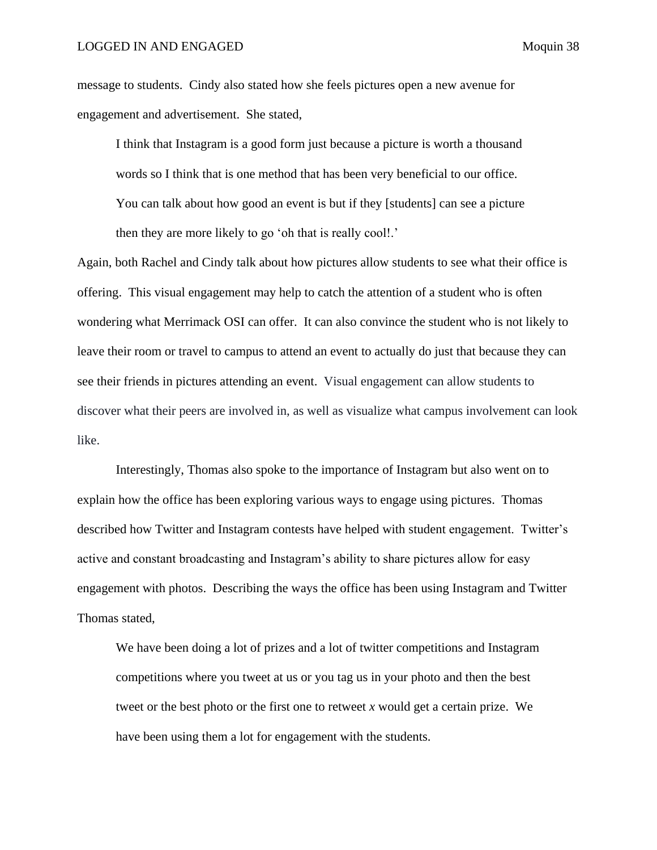message to students. Cindy also stated how she feels pictures open a new avenue for engagement and advertisement. She stated,

I think that Instagram is a good form just because a picture is worth a thousand words so I think that is one method that has been very beneficial to our office. You can talk about how good an event is but if they [students] can see a picture then they are more likely to go 'oh that is really cool!.'

Again, both Rachel and Cindy talk about how pictures allow students to see what their office is offering. This visual engagement may help to catch the attention of a student who is often wondering what Merrimack OSI can offer. It can also convince the student who is not likely to leave their room or travel to campus to attend an event to actually do just that because they can see their friends in pictures attending an event. Visual engagement can allow students to discover what their peers are involved in, as well as visualize what campus involvement can look like.

Interestingly, Thomas also spoke to the importance of Instagram but also went on to explain how the office has been exploring various ways to engage using pictures. Thomas described how Twitter and Instagram contests have helped with student engagement. Twitter's active and constant broadcasting and Instagram's ability to share pictures allow for easy engagement with photos. Describing the ways the office has been using Instagram and Twitter Thomas stated,

We have been doing a lot of prizes and a lot of twitter competitions and Instagram competitions where you tweet at us or you tag us in your photo and then the best tweet or the best photo or the first one to retweet *x* would get a certain prize. We have been using them a lot for engagement with the students.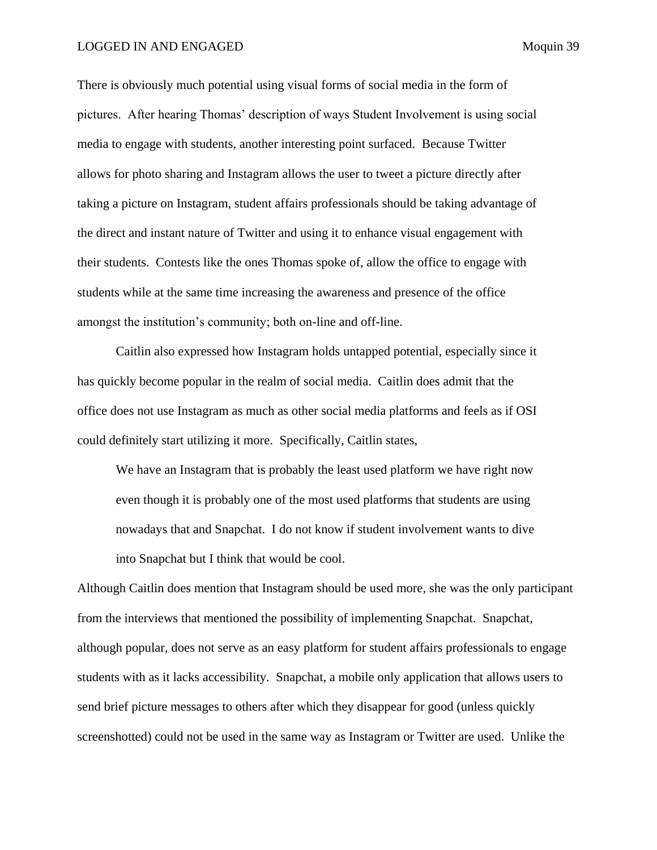## LOGGED IN AND ENGAGED Moquin 39

There is obviously much potential using visual forms of social media in the form of pictures. After hearing Thomas' description of ways Student Involvement is using social media to engage with students, another interesting point surfaced. Because Twitter allows for photo sharing and Instagram allows the user to tweet a picture directly after taking a picture on Instagram, student affairs professionals should be taking advantage of the direct and instant nature of Twitter and using it to enhance visual engagement with their students. Contests like the ones Thomas spoke of, allow the office to engage with students while at the same time increasing the awareness and presence of the office amongst the institution's community; both on-line and off-line.

Caitlin also expressed how Instagram holds untapped potential, especially since it has quickly become popular in the realm of social media. Caitlin does admit that the office does not use Instagram as much as other social media platforms and feels as if OSI could definitely start utilizing it more. Specifically, Caitlin states,

We have an Instagram that is probably the least used platform we have right now even though it is probably one of the most used platforms that students are using nowadays that and Snapchat. I do not know if student involvement wants to dive into Snapchat but I think that would be cool.

Although Caitlin does mention that Instagram should be used more, she was the only participant from the interviews that mentioned the possibility of implementing Snapchat. Snapchat, although popular, does not serve as an easy platform for student affairs professionals to engage students with as it lacks accessibility. Snapchat, a mobile only application that allows users to send brief picture messages to others after which they disappear for good (unless quickly screenshotted) could not be used in the same way as Instagram or Twitter are used. Unlike the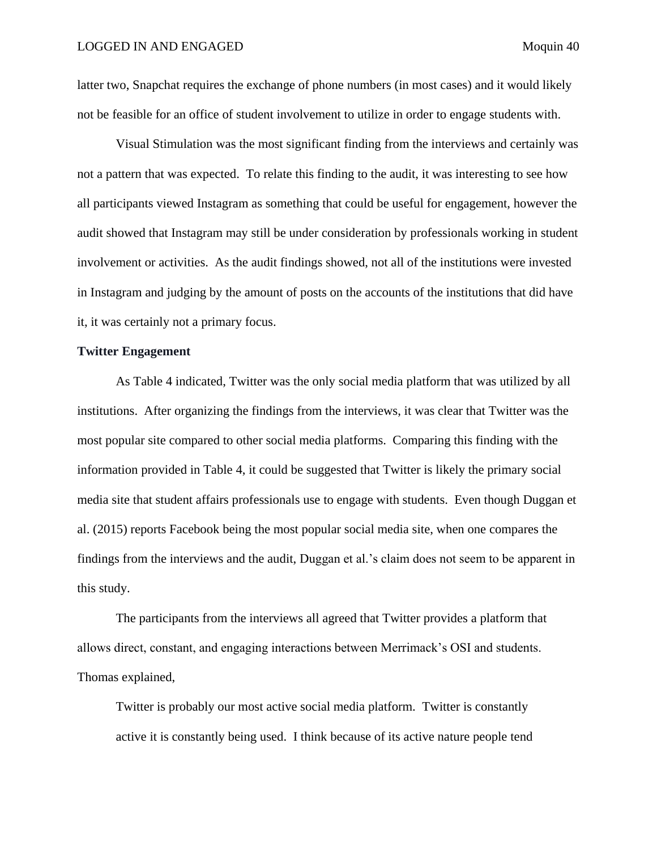latter two, Snapchat requires the exchange of phone numbers (in most cases) and it would likely not be feasible for an office of student involvement to utilize in order to engage students with.

Visual Stimulation was the most significant finding from the interviews and certainly was not a pattern that was expected. To relate this finding to the audit, it was interesting to see how all participants viewed Instagram as something that could be useful for engagement, however the audit showed that Instagram may still be under consideration by professionals working in student involvement or activities. As the audit findings showed, not all of the institutions were invested in Instagram and judging by the amount of posts on the accounts of the institutions that did have it, it was certainly not a primary focus.

# <span id="page-40-0"></span>**Twitter Engagement**

As Table 4 indicated, Twitter was the only social media platform that was utilized by all institutions. After organizing the findings from the interviews, it was clear that Twitter was the most popular site compared to other social media platforms. Comparing this finding with the information provided in Table 4, it could be suggested that Twitter is likely the primary social media site that student affairs professionals use to engage with students. Even though Duggan et al. (2015) reports Facebook being the most popular social media site, when one compares the findings from the interviews and the audit, Duggan et al.'s claim does not seem to be apparent in this study.

The participants from the interviews all agreed that Twitter provides a platform that allows direct, constant, and engaging interactions between Merrimack's OSI and students. Thomas explained,

Twitter is probably our most active social media platform. Twitter is constantly active it is constantly being used. I think because of its active nature people tend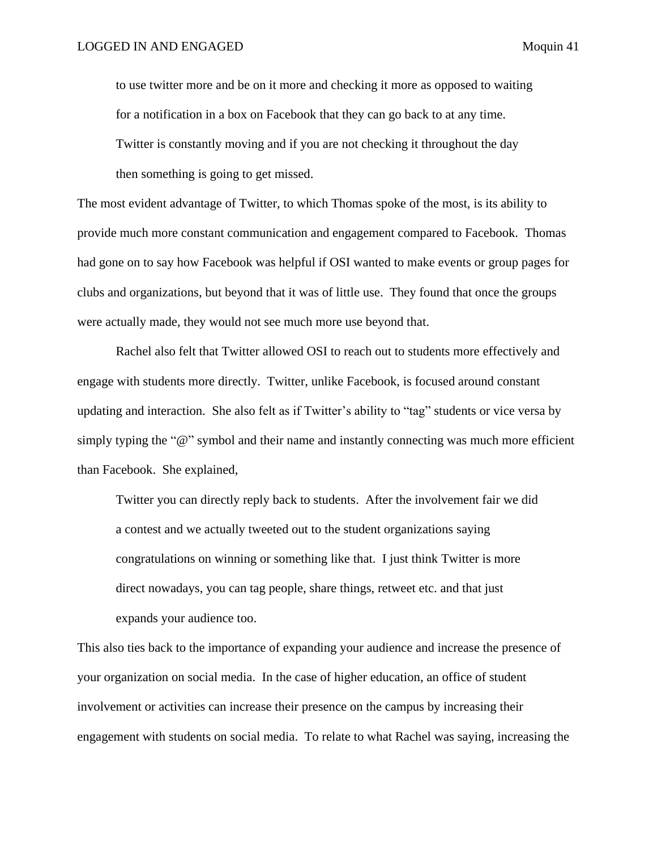to use twitter more and be on it more and checking it more as opposed to waiting for a notification in a box on Facebook that they can go back to at any time. Twitter is constantly moving and if you are not checking it throughout the day then something is going to get missed.

The most evident advantage of Twitter, to which Thomas spoke of the most, is its ability to provide much more constant communication and engagement compared to Facebook. Thomas had gone on to say how Facebook was helpful if OSI wanted to make events or group pages for clubs and organizations, but beyond that it was of little use. They found that once the groups were actually made, they would not see much more use beyond that.

Rachel also felt that Twitter allowed OSI to reach out to students more effectively and engage with students more directly. Twitter, unlike Facebook, is focused around constant updating and interaction. She also felt as if Twitter's ability to "tag" students or vice versa by simply typing the "@" symbol and their name and instantly connecting was much more efficient than Facebook. She explained,

Twitter you can directly reply back to students. After the involvement fair we did a contest and we actually tweeted out to the student organizations saying congratulations on winning or something like that. I just think Twitter is more direct nowadays, you can tag people, share things, retweet etc. and that just expands your audience too.

This also ties back to the importance of expanding your audience and increase the presence of your organization on social media. In the case of higher education, an office of student involvement or activities can increase their presence on the campus by increasing their engagement with students on social media. To relate to what Rachel was saying, increasing the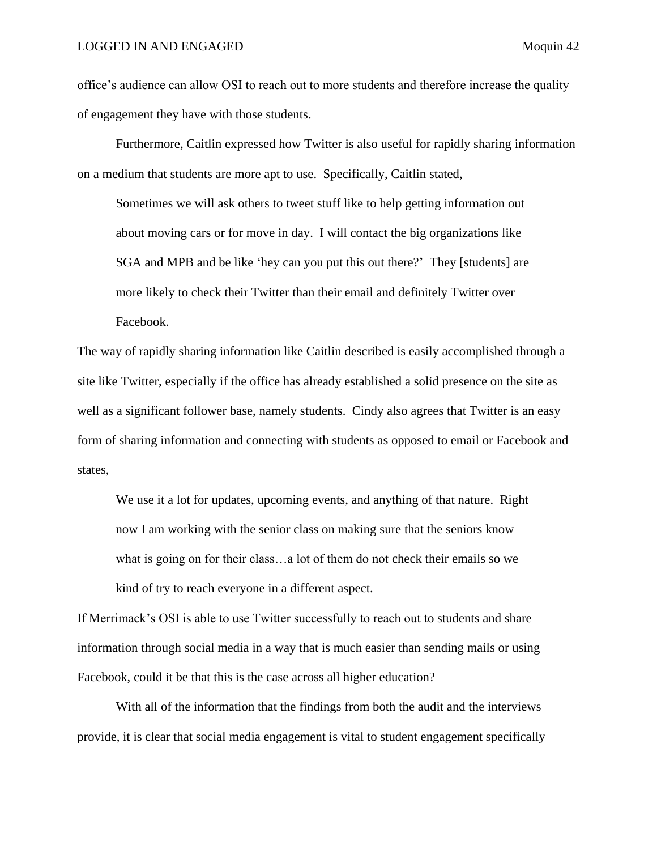office's audience can allow OSI to reach out to more students and therefore increase the quality of engagement they have with those students.

Furthermore, Caitlin expressed how Twitter is also useful for rapidly sharing information on a medium that students are more apt to use. Specifically, Caitlin stated,

Sometimes we will ask others to tweet stuff like to help getting information out about moving cars or for move in day. I will contact the big organizations like SGA and MPB and be like 'hey can you put this out there?' They [students] are more likely to check their Twitter than their email and definitely Twitter over Facebook.

The way of rapidly sharing information like Caitlin described is easily accomplished through a site like Twitter, especially if the office has already established a solid presence on the site as well as a significant follower base, namely students. Cindy also agrees that Twitter is an easy form of sharing information and connecting with students as opposed to email or Facebook and states,

We use it a lot for updates, upcoming events, and anything of that nature. Right now I am working with the senior class on making sure that the seniors know what is going on for their class…a lot of them do not check their emails so we kind of try to reach everyone in a different aspect.

If Merrimack's OSI is able to use Twitter successfully to reach out to students and share information through social media in a way that is much easier than sending mails or using Facebook, could it be that this is the case across all higher education?

With all of the information that the findings from both the audit and the interviews provide, it is clear that social media engagement is vital to student engagement specifically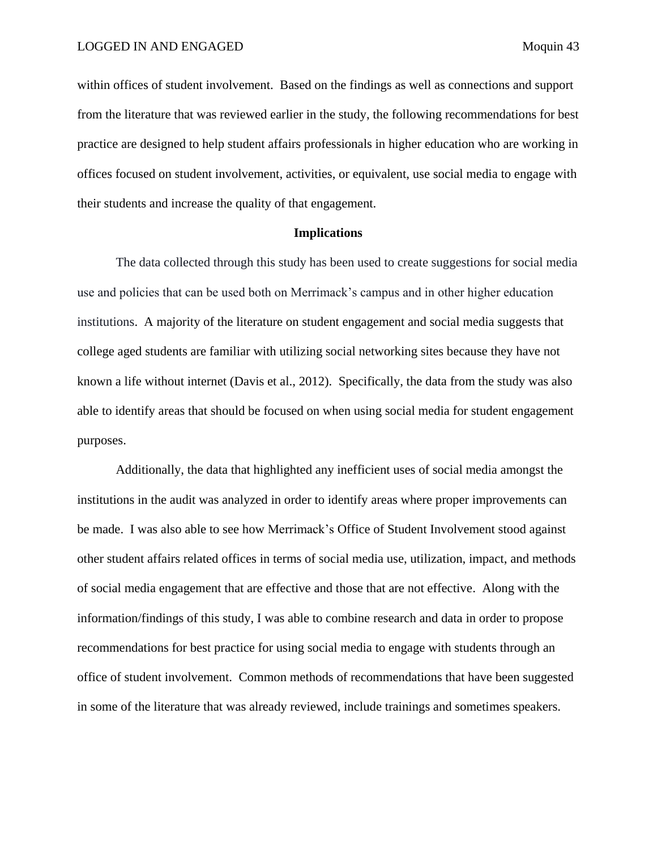within offices of student involvement. Based on the findings as well as connections and support from the literature that was reviewed earlier in the study, the following recommendations for best practice are designed to help student affairs professionals in higher education who are working in offices focused on student involvement, activities, or equivalent, use social media to engage with their students and increase the quality of that engagement.

## **Implications**

<span id="page-43-0"></span>The data collected through this study has been used to create suggestions for social media use and policies that can be used both on Merrimack's campus and in other higher education institutions. A majority of the literature on student engagement and social media suggests that college aged students are familiar with utilizing social networking sites because they have not known a life without internet (Davis et al., 2012). Specifically, the data from the study was also able to identify areas that should be focused on when using social media for student engagement purposes.

Additionally, the data that highlighted any inefficient uses of social media amongst the institutions in the audit was analyzed in order to identify areas where proper improvements can be made. I was also able to see how Merrimack's Office of Student Involvement stood against other student affairs related offices in terms of social media use, utilization, impact, and methods of social media engagement that are effective and those that are not effective. Along with the information/findings of this study, I was able to combine research and data in order to propose recommendations for best practice for using social media to engage with students through an office of student involvement. Common methods of recommendations that have been suggested in some of the literature that was already reviewed, include trainings and sometimes speakers.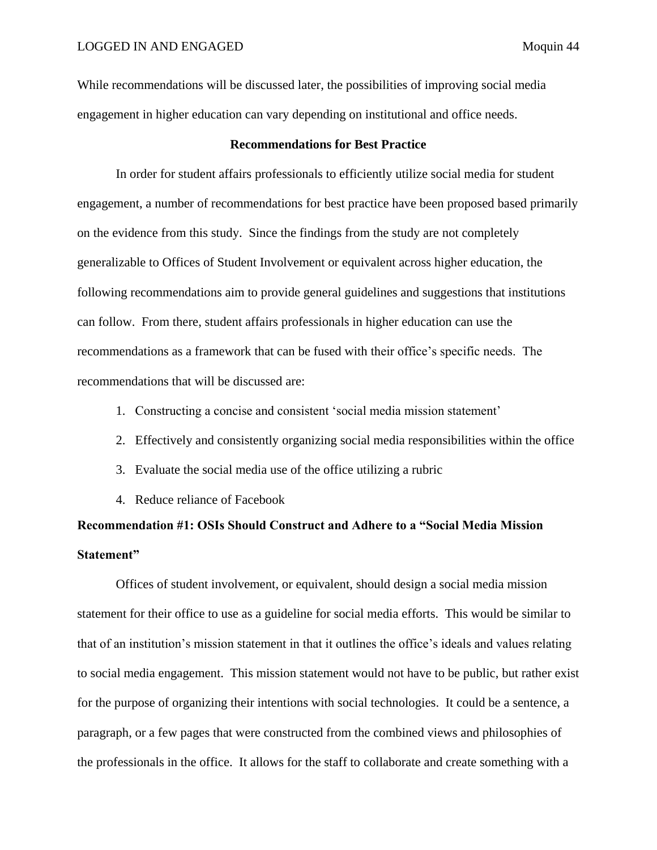While recommendations will be discussed later, the possibilities of improving social media engagement in higher education can vary depending on institutional and office needs.

# **Recommendations for Best Practice**

<span id="page-44-0"></span>In order for student affairs professionals to efficiently utilize social media for student engagement, a number of recommendations for best practice have been proposed based primarily on the evidence from this study. Since the findings from the study are not completely generalizable to Offices of Student Involvement or equivalent across higher education, the following recommendations aim to provide general guidelines and suggestions that institutions can follow. From there, student affairs professionals in higher education can use the recommendations as a framework that can be fused with their office's specific needs. The recommendations that will be discussed are:

- 1. Constructing a concise and consistent 'social media mission statement'
- 2. Effectively and consistently organizing social media responsibilities within the office
- 3. Evaluate the social media use of the office utilizing a rubric
- 4. Reduce reliance of Facebook

# <span id="page-44-1"></span>**Recommendation #1: OSIs Should Construct and Adhere to a "Social Media Mission Statement"**

Offices of student involvement, or equivalent, should design a social media mission statement for their office to use as a guideline for social media efforts. This would be similar to that of an institution's mission statement in that it outlines the office's ideals and values relating to social media engagement. This mission statement would not have to be public, but rather exist for the purpose of organizing their intentions with social technologies. It could be a sentence, a paragraph, or a few pages that were constructed from the combined views and philosophies of the professionals in the office. It allows for the staff to collaborate and create something with a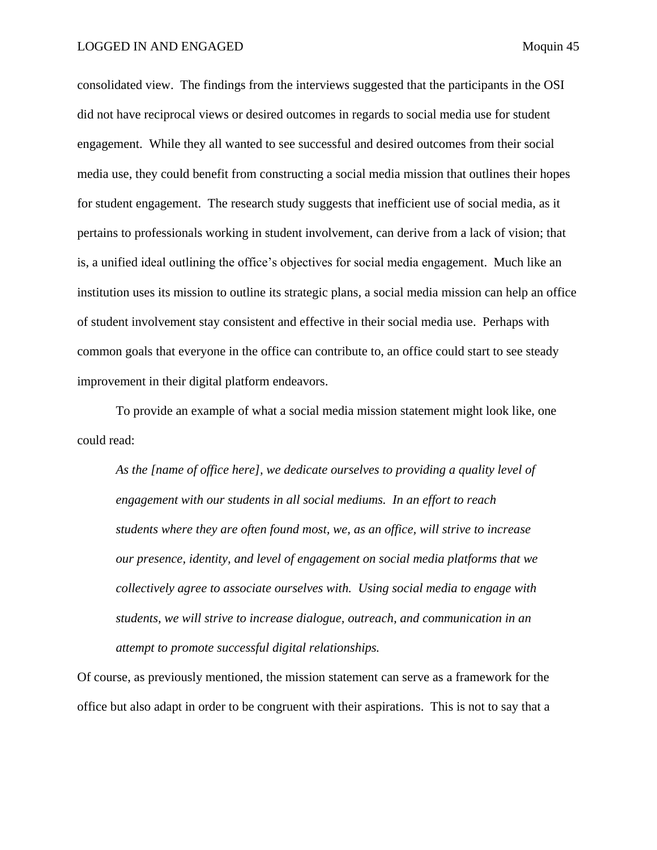consolidated view. The findings from the interviews suggested that the participants in the OSI did not have reciprocal views or desired outcomes in regards to social media use for student engagement. While they all wanted to see successful and desired outcomes from their social media use, they could benefit from constructing a social media mission that outlines their hopes for student engagement. The research study suggests that inefficient use of social media, as it pertains to professionals working in student involvement, can derive from a lack of vision; that is, a unified ideal outlining the office's objectives for social media engagement. Much like an institution uses its mission to outline its strategic plans, a social media mission can help an office of student involvement stay consistent and effective in their social media use. Perhaps with common goals that everyone in the office can contribute to, an office could start to see steady improvement in their digital platform endeavors.

To provide an example of what a social media mission statement might look like, one could read:

*As the [name of office here], we dedicate ourselves to providing a quality level of engagement with our students in all social mediums. In an effort to reach students where they are often found most, we, as an office, will strive to increase our presence, identity, and level of engagement on social media platforms that we collectively agree to associate ourselves with. Using social media to engage with students, we will strive to increase dialogue, outreach, and communication in an attempt to promote successful digital relationships.*

Of course, as previously mentioned, the mission statement can serve as a framework for the office but also adapt in order to be congruent with their aspirations. This is not to say that a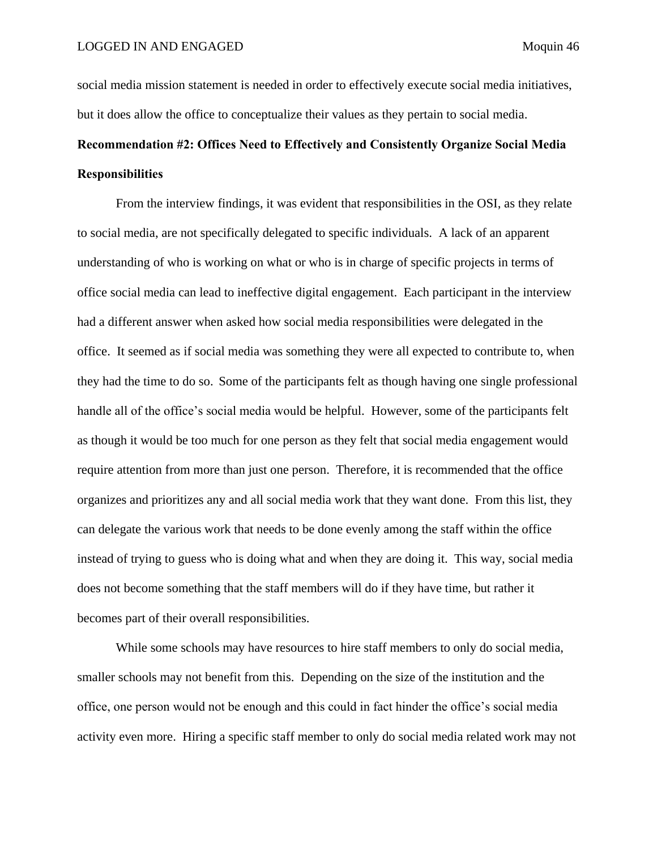social media mission statement is needed in order to effectively execute social media initiatives, but it does allow the office to conceptualize their values as they pertain to social media.

# <span id="page-46-0"></span>**Recommendation #2: Offices Need to Effectively and Consistently Organize Social Media Responsibilities**

From the interview findings, it was evident that responsibilities in the OSI, as they relate to social media, are not specifically delegated to specific individuals. A lack of an apparent understanding of who is working on what or who is in charge of specific projects in terms of office social media can lead to ineffective digital engagement. Each participant in the interview had a different answer when asked how social media responsibilities were delegated in the office. It seemed as if social media was something they were all expected to contribute to, when they had the time to do so. Some of the participants felt as though having one single professional handle all of the office's social media would be helpful. However, some of the participants felt as though it would be too much for one person as they felt that social media engagement would require attention from more than just one person. Therefore, it is recommended that the office organizes and prioritizes any and all social media work that they want done. From this list, they can delegate the various work that needs to be done evenly among the staff within the office instead of trying to guess who is doing what and when they are doing it. This way, social media does not become something that the staff members will do if they have time, but rather it becomes part of their overall responsibilities.

While some schools may have resources to hire staff members to only do social media, smaller schools may not benefit from this. Depending on the size of the institution and the office, one person would not be enough and this could in fact hinder the office's social media activity even more. Hiring a specific staff member to only do social media related work may not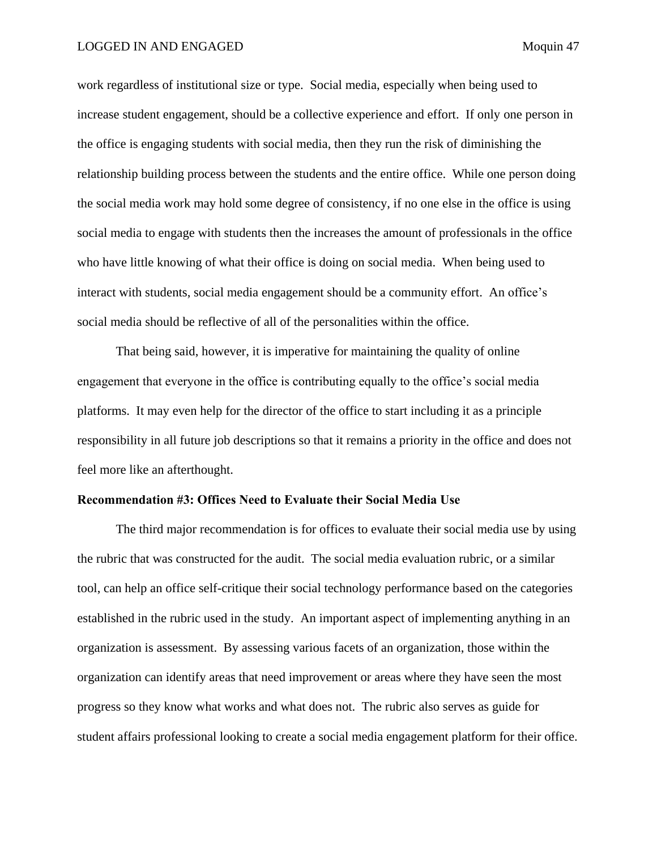work regardless of institutional size or type. Social media, especially when being used to increase student engagement, should be a collective experience and effort. If only one person in the office is engaging students with social media, then they run the risk of diminishing the relationship building process between the students and the entire office. While one person doing the social media work may hold some degree of consistency, if no one else in the office is using social media to engage with students then the increases the amount of professionals in the office who have little knowing of what their office is doing on social media. When being used to interact with students, social media engagement should be a community effort. An office's social media should be reflective of all of the personalities within the office.

That being said, however, it is imperative for maintaining the quality of online engagement that everyone in the office is contributing equally to the office's social media platforms. It may even help for the director of the office to start including it as a principle responsibility in all future job descriptions so that it remains a priority in the office and does not feel more like an afterthought.

# <span id="page-47-0"></span>**Recommendation #3: Offices Need to Evaluate their Social Media Use**

The third major recommendation is for offices to evaluate their social media use by using the rubric that was constructed for the audit. The social media evaluation rubric, or a similar tool, can help an office self-critique their social technology performance based on the categories established in the rubric used in the study. An important aspect of implementing anything in an organization is assessment. By assessing various facets of an organization, those within the organization can identify areas that need improvement or areas where they have seen the most progress so they know what works and what does not. The rubric also serves as guide for student affairs professional looking to create a social media engagement platform for their office.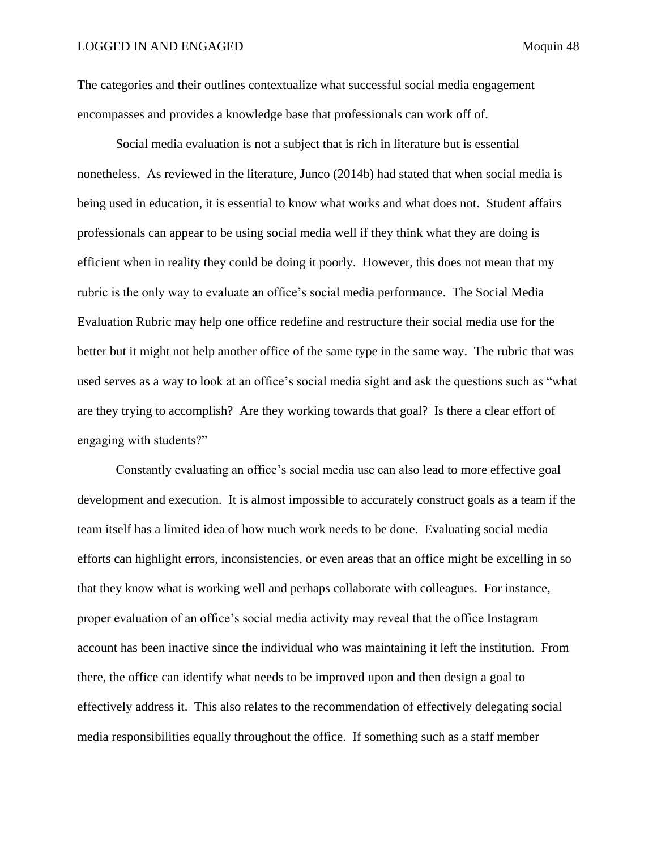The categories and their outlines contextualize what successful social media engagement encompasses and provides a knowledge base that professionals can work off of.

Social media evaluation is not a subject that is rich in literature but is essential nonetheless. As reviewed in the literature, Junco (2014b) had stated that when social media is being used in education, it is essential to know what works and what does not. Student affairs professionals can appear to be using social media well if they think what they are doing is efficient when in reality they could be doing it poorly. However, this does not mean that my rubric is the only way to evaluate an office's social media performance. The Social Media Evaluation Rubric may help one office redefine and restructure their social media use for the better but it might not help another office of the same type in the same way. The rubric that was used serves as a way to look at an office's social media sight and ask the questions such as "what are they trying to accomplish? Are they working towards that goal? Is there a clear effort of engaging with students?"

Constantly evaluating an office's social media use can also lead to more effective goal development and execution. It is almost impossible to accurately construct goals as a team if the team itself has a limited idea of how much work needs to be done. Evaluating social media efforts can highlight errors, inconsistencies, or even areas that an office might be excelling in so that they know what is working well and perhaps collaborate with colleagues. For instance, proper evaluation of an office's social media activity may reveal that the office Instagram account has been inactive since the individual who was maintaining it left the institution. From there, the office can identify what needs to be improved upon and then design a goal to effectively address it. This also relates to the recommendation of effectively delegating social media responsibilities equally throughout the office. If something such as a staff member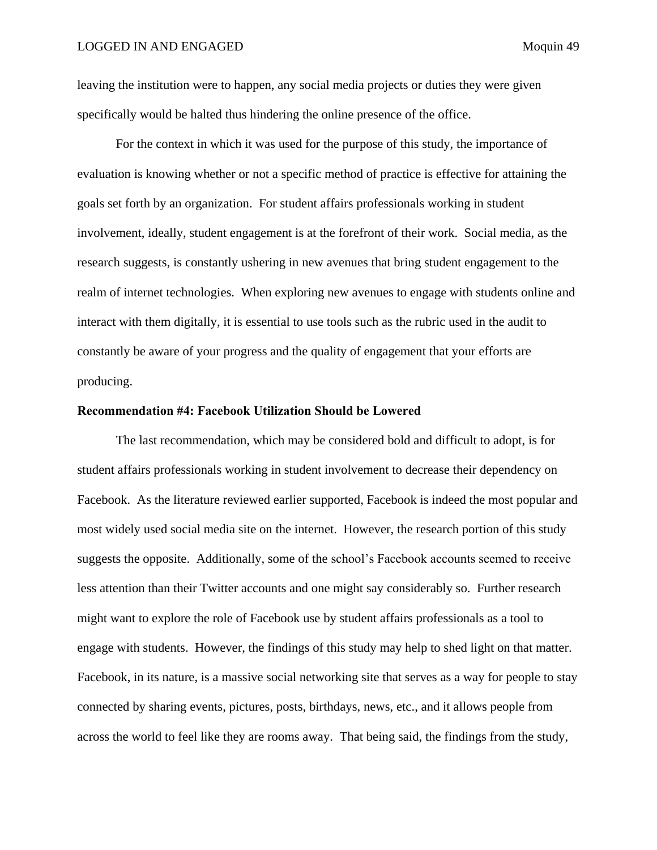leaving the institution were to happen, any social media projects or duties they were given specifically would be halted thus hindering the online presence of the office.

For the context in which it was used for the purpose of this study, the importance of evaluation is knowing whether or not a specific method of practice is effective for attaining the goals set forth by an organization. For student affairs professionals working in student involvement, ideally, student engagement is at the forefront of their work. Social media, as the research suggests, is constantly ushering in new avenues that bring student engagement to the realm of internet technologies. When exploring new avenues to engage with students online and interact with them digitally, it is essential to use tools such as the rubric used in the audit to constantly be aware of your progress and the quality of engagement that your efforts are producing.

## <span id="page-49-0"></span>**Recommendation #4: Facebook Utilization Should be Lowered**

The last recommendation, which may be considered bold and difficult to adopt, is for student affairs professionals working in student involvement to decrease their dependency on Facebook. As the literature reviewed earlier supported, Facebook is indeed the most popular and most widely used social media site on the internet. However, the research portion of this study suggests the opposite. Additionally, some of the school's Facebook accounts seemed to receive less attention than their Twitter accounts and one might say considerably so. Further research might want to explore the role of Facebook use by student affairs professionals as a tool to engage with students. However, the findings of this study may help to shed light on that matter. Facebook, in its nature, is a massive social networking site that serves as a way for people to stay connected by sharing events, pictures, posts, birthdays, news, etc., and it allows people from across the world to feel like they are rooms away. That being said, the findings from the study,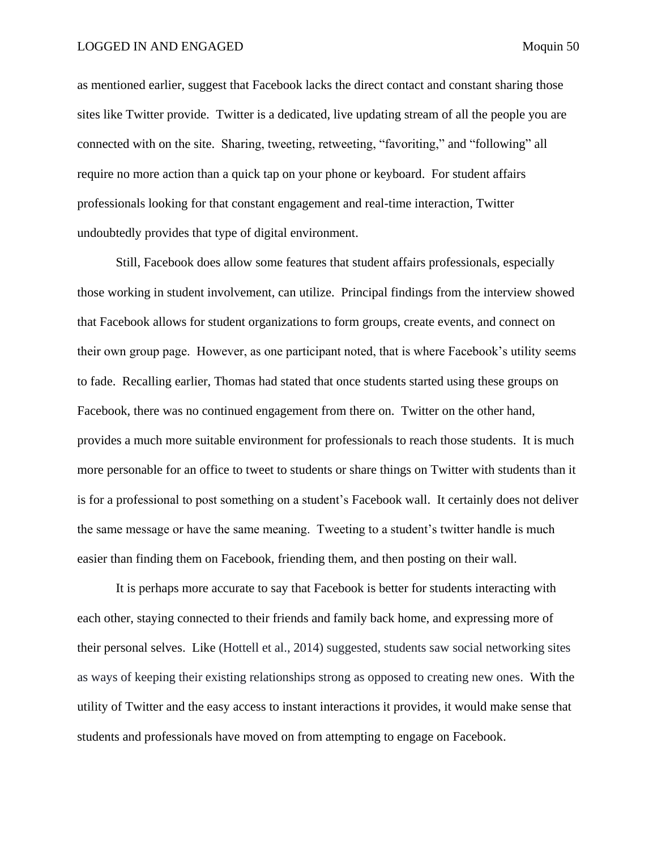as mentioned earlier, suggest that Facebook lacks the direct contact and constant sharing those sites like Twitter provide. Twitter is a dedicated, live updating stream of all the people you are connected with on the site. Sharing, tweeting, retweeting, "favoriting," and "following" all require no more action than a quick tap on your phone or keyboard. For student affairs professionals looking for that constant engagement and real-time interaction, Twitter undoubtedly provides that type of digital environment.

Still, Facebook does allow some features that student affairs professionals, especially those working in student involvement, can utilize. Principal findings from the interview showed that Facebook allows for student organizations to form groups, create events, and connect on their own group page. However, as one participant noted, that is where Facebook's utility seems to fade. Recalling earlier, Thomas had stated that once students started using these groups on Facebook, there was no continued engagement from there on. Twitter on the other hand, provides a much more suitable environment for professionals to reach those students. It is much more personable for an office to tweet to students or share things on Twitter with students than it is for a professional to post something on a student's Facebook wall. It certainly does not deliver the same message or have the same meaning. Tweeting to a student's twitter handle is much easier than finding them on Facebook, friending them, and then posting on their wall.

It is perhaps more accurate to say that Facebook is better for students interacting with each other, staying connected to their friends and family back home, and expressing more of their personal selves. Like (Hottell et al., 2014) suggested, students saw social networking sites as ways of keeping their existing relationships strong as opposed to creating new ones. With the utility of Twitter and the easy access to instant interactions it provides, it would make sense that students and professionals have moved on from attempting to engage on Facebook.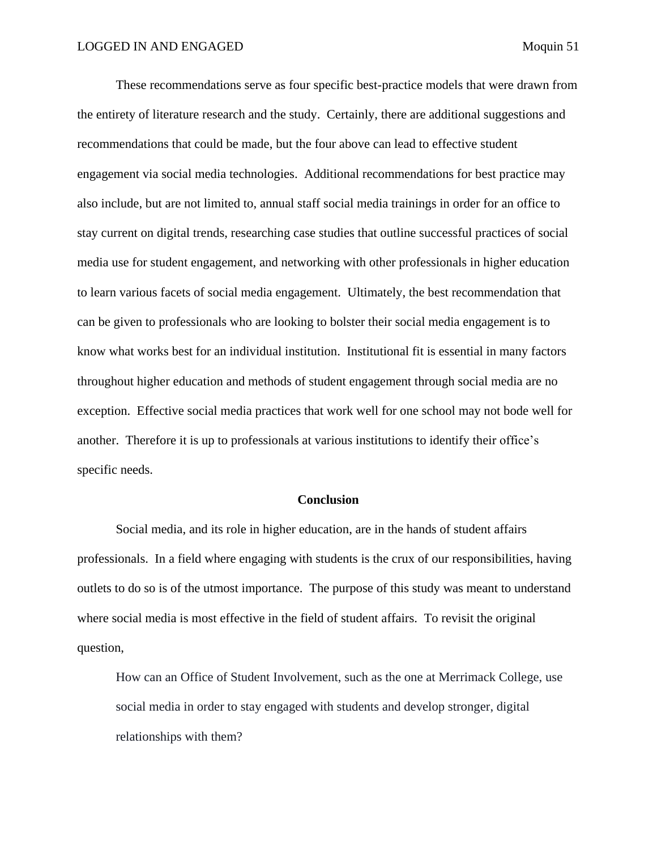These recommendations serve as four specific best-practice models that were drawn from the entirety of literature research and the study. Certainly, there are additional suggestions and recommendations that could be made, but the four above can lead to effective student engagement via social media technologies. Additional recommendations for best practice may also include, but are not limited to, annual staff social media trainings in order for an office to stay current on digital trends, researching case studies that outline successful practices of social media use for student engagement, and networking with other professionals in higher education to learn various facets of social media engagement. Ultimately, the best recommendation that can be given to professionals who are looking to bolster their social media engagement is to know what works best for an individual institution. Institutional fit is essential in many factors throughout higher education and methods of student engagement through social media are no exception. Effective social media practices that work well for one school may not bode well for another. Therefore it is up to professionals at various institutions to identify their office's specific needs.

## **Conclusion**

<span id="page-51-0"></span>Social media, and its role in higher education, are in the hands of student affairs professionals. In a field where engaging with students is the crux of our responsibilities, having outlets to do so is of the utmost importance. The purpose of this study was meant to understand where social media is most effective in the field of student affairs. To revisit the original question,

How can an Office of Student Involvement, such as the one at Merrimack College, use social media in order to stay engaged with students and develop stronger, digital relationships with them?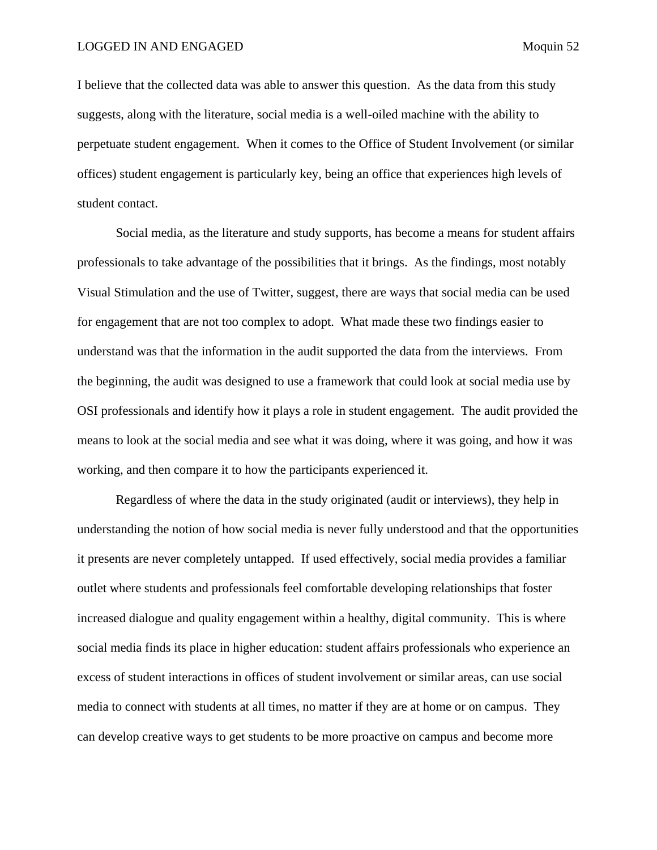I believe that the collected data was able to answer this question. As the data from this study suggests, along with the literature, social media is a well-oiled machine with the ability to perpetuate student engagement. When it comes to the Office of Student Involvement (or similar offices) student engagement is particularly key, being an office that experiences high levels of student contact.

Social media, as the literature and study supports, has become a means for student affairs professionals to take advantage of the possibilities that it brings. As the findings, most notably Visual Stimulation and the use of Twitter, suggest, there are ways that social media can be used for engagement that are not too complex to adopt. What made these two findings easier to understand was that the information in the audit supported the data from the interviews. From the beginning, the audit was designed to use a framework that could look at social media use by OSI professionals and identify how it plays a role in student engagement. The audit provided the means to look at the social media and see what it was doing, where it was going, and how it was working, and then compare it to how the participants experienced it.

Regardless of where the data in the study originated (audit or interviews), they help in understanding the notion of how social media is never fully understood and that the opportunities it presents are never completely untapped. If used effectively, social media provides a familiar outlet where students and professionals feel comfortable developing relationships that foster increased dialogue and quality engagement within a healthy, digital community. This is where social media finds its place in higher education: student affairs professionals who experience an excess of student interactions in offices of student involvement or similar areas, can use social media to connect with students at all times, no matter if they are at home or on campus. They can develop creative ways to get students to be more proactive on campus and become more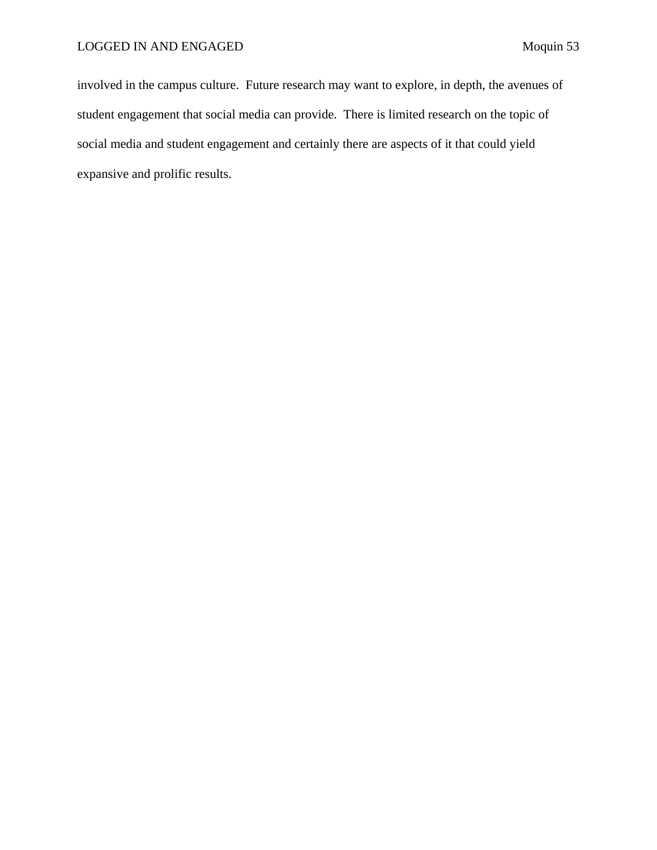involved in the campus culture. Future research may want to explore, in depth, the avenues of student engagement that social media can provide. There is limited research on the topic of social media and student engagement and certainly there are aspects of it that could yield expansive and prolific results.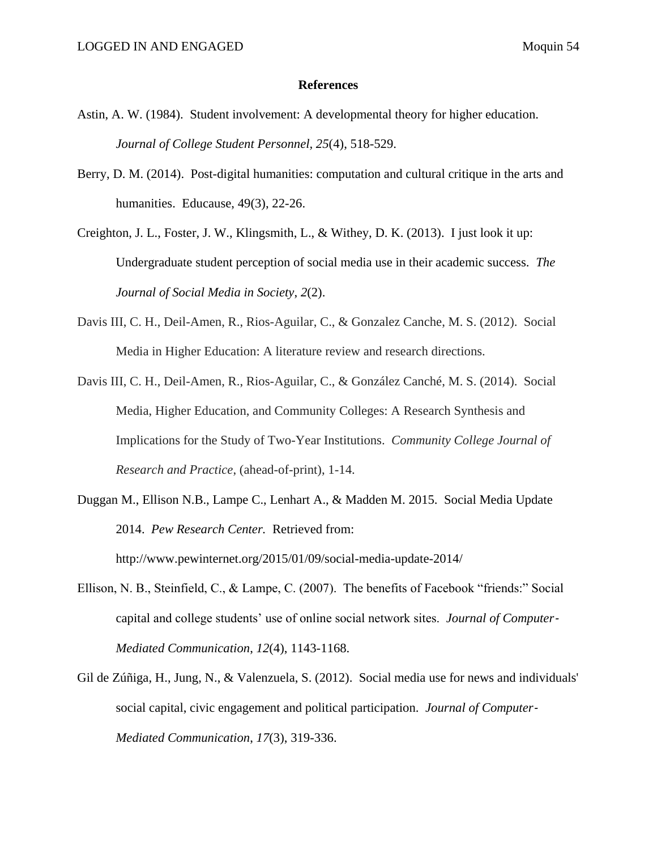- <span id="page-54-0"></span>Astin, A. W. (1984). Student involvement: A developmental theory for higher education. *Journal of College Student Personnel, 25*(4), 518-529.
- Berry, D. M. (2014). Post-digital humanities: computation and cultural critique in the arts and humanities. Educause, 49(3), 22-26.
- Creighton, J. L., Foster, J. W., Klingsmith, L., & Withey, D. K. (2013). I just look it up: Undergraduate student perception of social media use in their academic success. *The Journal of Social Media in Society*, *2*(2).
- Davis III, C. H., Deil-Amen, R., Rios-Aguilar, C., & Gonzalez Canche, M. S. (2012). Social Media in Higher Education: A literature review and research directions.
- Davis III, C. H., Deil-Amen, R., Rios-Aguilar, C., & González Canché, M. S. (2014). Social Media, Higher Education, and Community Colleges: A Research Synthesis and Implications for the Study of Two-Year Institutions. *Community College Journal of Research and Practice*, (ahead-of-print), 1-14.
- Duggan M., Ellison N.B., Lampe C., Lenhart A., & Madden M. 2015. Social Media Update 2014. *Pew Research Center.* Retrieved from: http://www.pewinternet.org/2015/01/09/social-media-update-2014/
- Ellison, N. B., Steinfield, C., & Lampe, C. (2007). The benefits of Facebook "friends:" Social capital and college students' use of online social network sites. *Journal of Computer*‐ *Mediated Communication*, *12*(4), 1143-1168.
- Gil de Zúñiga, H., Jung, N., & Valenzuela, S. (2012). Social media use for news and individuals' social capital, civic engagement and political participation. *Journal of Computer*‐ *Mediated Communication*, *17*(3), 319-336.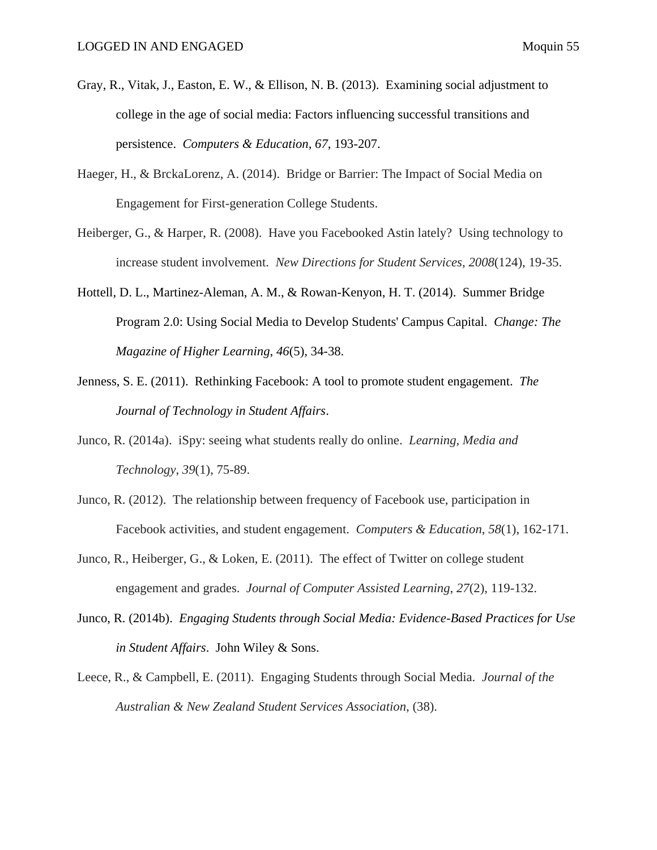- Gray, R., Vitak, J., Easton, E. W., & Ellison, N. B. (2013). Examining social adjustment to college in the age of social media: Factors influencing successful transitions and persistence. *Computers & Education*, *67*, 193-207.
- Haeger, H., & BrckaLorenz, A. (2014). Bridge or Barrier: The Impact of Social Media on Engagement for First-generation College Students.
- Heiberger, G., & Harper, R. (2008). Have you Facebooked Astin lately? Using technology to increase student involvement. *New Directions for Student Services*, *2008*(124), 19-35.
- Hottell, D. L., Martinez-Aleman, A. M., & Rowan-Kenyon, H. T. (2014). Summer Bridge Program 2.0: Using Social Media to Develop Students' Campus Capital. *Change: The Magazine of Higher Learning*, *46*(5), 34-38.
- Jenness, S. E. (2011). Rethinking Facebook: A tool to promote student engagement. *The Journal of Technology in Student Affairs*.
- Junco, R. (2014a). iSpy: seeing what students really do online. *Learning, Media and Technology*, *39*(1), 75-89.
- Junco, R. (2012). The relationship between frequency of Facebook use, participation in Facebook activities, and student engagement. *Computers & Education*, *58*(1), 162-171.
- Junco, R., Heiberger, G., & Loken, E. (2011). The effect of Twitter on college student engagement and grades. *Journal of Computer Assisted Learning*, *27*(2), 119-132.
- Junco, R. (2014b). *Engaging Students through Social Media: Evidence-Based Practices for Use in Student Affairs*. John Wiley & Sons.
- Leece, R., & Campbell, E. (2011). Engaging Students through Social Media. *Journal of the Australian & New Zealand Student Services Association*, (38).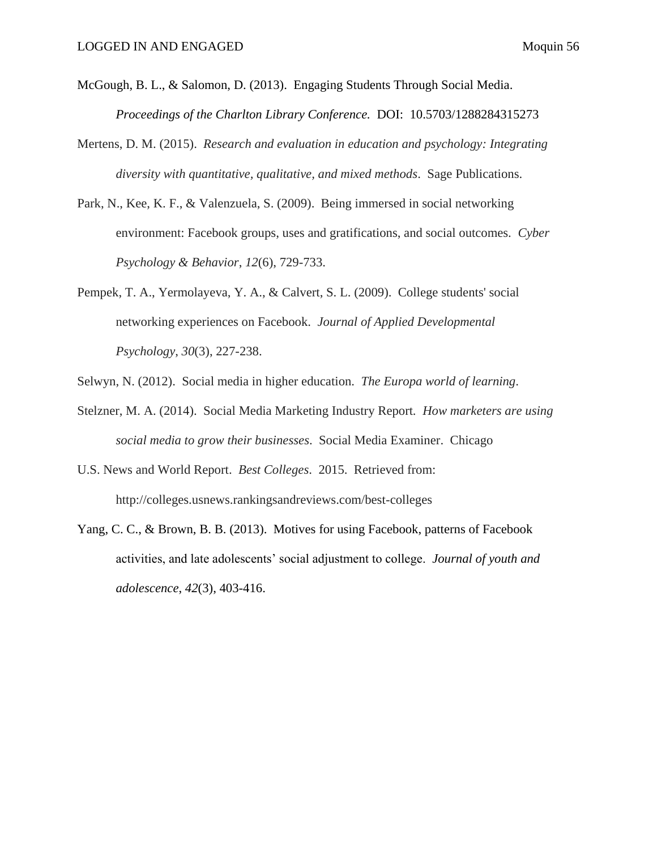- McGough, B. L., & Salomon, D. (2013). Engaging Students Through Social Media. *Proceedings of the Charlton Library Conference.* DOI: 10.5703/1288284315273
- Mertens, D. M. (2015).*Research and evaluation in education and psychology: Integrating diversity with quantitative, qualitative, and mixed methods*. Sage Publications.
- Park, N., Kee, K. F., & Valenzuela, S. (2009). Being immersed in social networking environment: Facebook groups, uses and gratifications, and social outcomes. *Cyber Psychology & Behavior*, *12*(6), 729-733.
- Pempek, T. A., Yermolayeva, Y. A., & Calvert, S. L. (2009). College students' social networking experiences on Facebook. *Journal of Applied Developmental Psychology*, *30*(3), 227-238.
- Selwyn, N. (2012). Social media in higher education. *The Europa world of learning*.
- Stelzner, M. A. (2014). Social Media Marketing Industry Report*. How marketers are using social media to grow their businesses*. Social Media Examiner. Chicago
- U.S. News and World Report. *Best Colleges*. 2015. Retrieved from: http://colleges.usnews.rankingsandreviews.com/best-colleges
- Yang, C. C., & Brown, B. B. (2013). Motives for using Facebook, patterns of Facebook activities, and late adolescents' social adjustment to college. *Journal of youth and adolescence*, *42*(3), 403-416.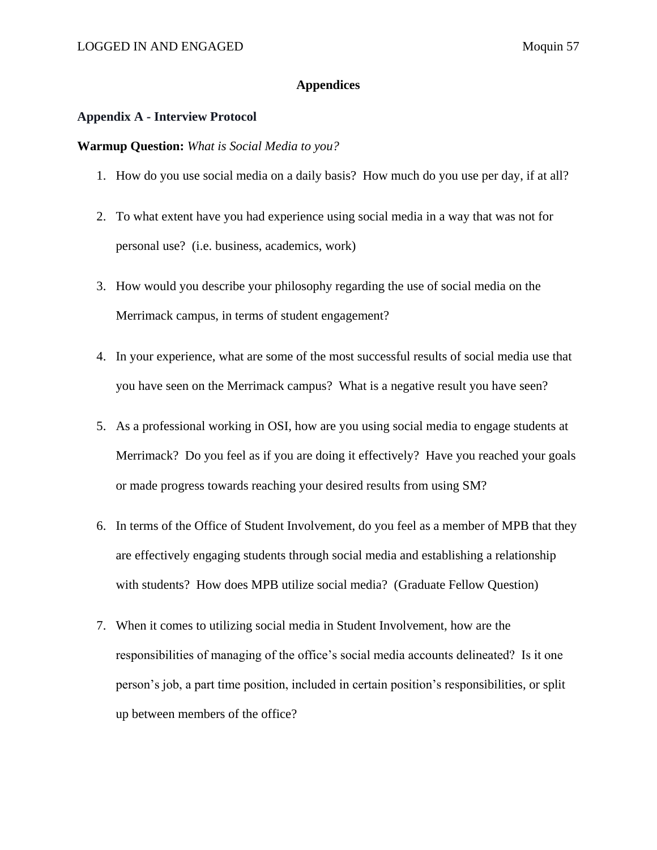# **Appendices**

# <span id="page-57-1"></span><span id="page-57-0"></span>**Appendix A - Interview Protocol**

# **Warmup Question:** *What is Social Media to you?*

- 1. How do you use social media on a daily basis? How much do you use per day, if at all?
- 2. To what extent have you had experience using social media in a way that was not for personal use? (i.e. business, academics, work)
- 3. How would you describe your philosophy regarding the use of social media on the Merrimack campus, in terms of student engagement?
- 4. In your experience, what are some of the most successful results of social media use that you have seen on the Merrimack campus? What is a negative result you have seen?
- 5. As a professional working in OSI, how are you using social media to engage students at Merrimack? Do you feel as if you are doing it effectively? Have you reached your goals or made progress towards reaching your desired results from using SM?
- 6. In terms of the Office of Student Involvement, do you feel as a member of MPB that they are effectively engaging students through social media and establishing a relationship with students? How does MPB utilize social media? (Graduate Fellow Question)
- 7. When it comes to utilizing social media in Student Involvement, how are the responsibilities of managing of the office's social media accounts delineated? Is it one person's job, a part time position, included in certain position's responsibilities, or split up between members of the office?